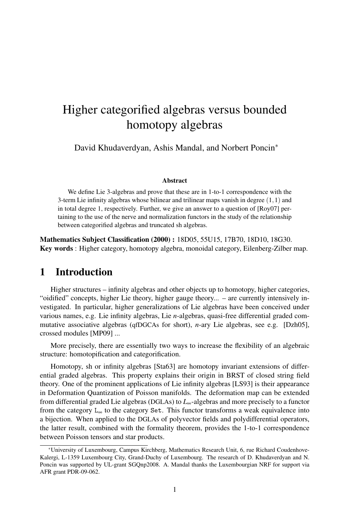# Higher categorified algebras versus bounded homotopy algebras

David Khudaverdyan, Ashis Mandal, and Norbert Poncin*<sup>∗</sup>*

#### Abstract

We define Lie 3-algebras and prove that these are in 1-to-1 correspondence with the 3-term Lie infinity algebras whose bilinear and trilinear maps vanish in degree (1*,*1) and in total degree 1, respectively. Further, we give an answer to a question of [Roy07] pertaining to the use of the nerve and normalization functors in the study of the relationship between categorified algebras and truncated sh algebras.

Mathematics Subject Classification (2000) : 18D05, 55U15, 17B70, 18D10, 18G30. Key words : Higher category, homotopy algebra, monoidal category, Eilenberg-Zilber map.

### 1 Introduction

Higher structures – infinity algebras and other objects up to homotopy, higher categories, "oidified" concepts, higher Lie theory, higher gauge theory... – are currently intensively investigated. In particular, higher generalizations of Lie algebras have been conceived under various names, e.g. Lie infinity algebras, Lie *n*-algebras, quasi-free differential graded commutative associative algebras (qfDGCAs for short), *n*-ary Lie algebras, see e.g. [Dzh05], crossed modules [MP09] ...

More precisely, there are essentially two ways to increase the flexibility of an algebraic structure: homotopification and categorification.

Homotopy, sh or infinity algebras [Sta63] are homotopy invariant extensions of differential graded algebras. This property explains their origin in BRST of closed string field theory. One of the prominent applications of Lie infinity algebras [LS93] is their appearance in Deformation Quantization of Poisson manifolds. The deformation map can be extended from differential graded Lie algebras (DGLAs) to *L*∞-algebras and more precisely to a functor from the category  $L_{\infty}$  to the category Set. This functor transforms a weak equivalence into a bijection. When applied to the DGLAs of polyvector fields and polydifferential operators, the latter result, combined with the formality theorem, provides the 1-to-1 correspondence between Poisson tensors and star products.

*<sup>∗</sup>*University of Luxembourg, Campus Kirchberg, Mathematics Research Unit, 6, rue Richard Coudenhove-Kalergi, L-1359 Luxembourg City, Grand-Duchy of Luxembourg. The research of D. Khudaverdyan and N. Poncin was supported by UL-grant SGQnp2008. A. Mandal thanks the Luxembourgian NRF for support via AFR grant PDR-09-062.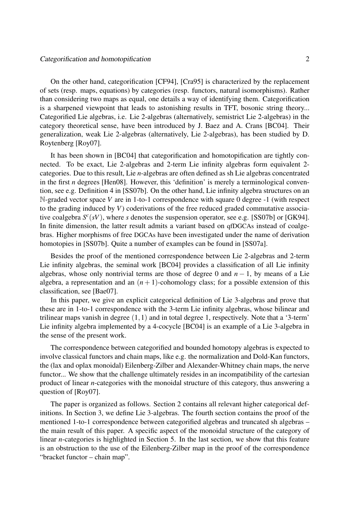On the other hand, categorification [CF94], [Cra95] is characterized by the replacement of sets (resp. maps, equations) by categories (resp. functors, natural isomorphisms). Rather than considering two maps as equal, one details a way of identifying them. Categorification is a sharpened viewpoint that leads to astonishing results in TFT, bosonic string theory... Categorified Lie algebras, i.e. Lie 2-algebras (alternatively, semistrict Lie 2-algebras) in the category theoretical sense, have been introduced by J. Baez and A. Crans [BC04]. Their generalization, weak Lie 2-algebras (alternatively, Lie 2-algebras), has been studied by D. Roytenberg [Roy07].

It has been shown in [BC04] that categorification and homotopification are tightly connected. To be exact, Lie 2-algebras and 2-term Lie infinity algebras form equivalent 2 categories. Due to this result, Lie *n*-algebras are often defined as sh Lie algebras concentrated in the first *n* degrees [Hen08]. However, this 'definition' is merely a terminological convention, see e.g. Definition 4 in [SS07b]. On the other hand, Lie infinity algebra structures on an N-graded vector space *V* are in 1-to-1 correspondence with square 0 degree -1 (with respect to the grading induced by *V*) coderivations of the free reduced graded commutative associative coalgebra  $S^{c}(sV)$ , where *s* denotes the suspension operator, see e.g. [SS07b] or [GK94]. In finite dimension, the latter result admits a variant based on qfDGCAs instead of coalgebras. Higher morphisms of free DGCAs have been investigated under the name of derivation homotopies in [SS07b]. Quite a number of examples can be found in [SS07a].

Besides the proof of the mentioned correspondence between Lie 2-algebras and 2-term Lie infinity algebras, the seminal work [BC04] provides a classification of all Lie infinity algebras, whose only nontrivial terms are those of degree 0 and  $n-1$ , by means of a Lie algebra, a representation and an  $(n + 1)$ -cohomology class; for a possible extension of this classification, see [Bae07].

In this paper, we give an explicit categorical definition of Lie 3-algebras and prove that these are in 1-to-1 correspondence with the 3-term Lie infinity algebras, whose bilinear and trilinear maps vanish in degree (1*,*1) and in total degree 1, respectively. Note that a '3-term' Lie infinity algebra implemented by a 4-cocycle [BC04] is an example of a Lie 3-algebra in the sense of the present work.

The correspondence between categorified and bounded homotopy algebras is expected to involve classical functors and chain maps, like e.g. the normalization and Dold-Kan functors, the (lax and oplax monoidal) Eilenberg-Zilber and Alexander-Whitney chain maps, the nerve functor... We show that the challenge ultimately resides in an incompatibility of the cartesian product of linear *n*-categories with the monoidal structure of this category, thus answering a question of [Roy07].

The paper is organized as follows. Section 2 contains all relevant higher categorical definitions. In Section 3, we define Lie 3-algebras. The fourth section contains the proof of the mentioned 1-to-1 correspondence between categorified algebras and truncated sh algebras – the main result of this paper. A specific aspect of the monoidal structure of the category of linear *n*-categories is highlighted in Section 5. In the last section, we show that this feature is an obstruction to the use of the Eilenberg-Zilber map in the proof of the correspondence "bracket functor – chain map".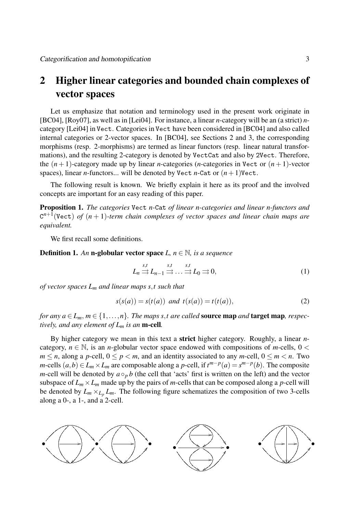## 2 Higher linear categories and bounded chain complexes of vector spaces

Let us emphasize that notation and terminology used in the present work originate in [BC04], [Roy07], as well as in [Lei04]. For instance, a linear *n*-category will be an (a strict) *n*category [Lei04] in Vect. Categories in Vect have been considered in [BC04] and also called internal categories or 2-vector spaces. In [BC04], see Sections 2 and 3, the corresponding morphisms (resp. 2-morphisms) are termed as linear functors (resp. linear natural transformations), and the resulting 2-category is denoted by VectCat and also by 2Vect. Therefore, the  $(n+1)$ -category made up by linear *n*-categories (*n*-categories in Vect or  $(n+1)$ -vector spaces), linear *n*-functors... will be denoted by Vect *n*-Cat or  $(n + 1)$ Vect.

The following result is known. We briefly explain it here as its proof and the involved concepts are important for an easy reading of this paper.

Proposition 1. *The categories* Vect *n-*Cat *of linear n-categories and linear n-functors and* C *n*+1 (Vect) *of* (*n* + 1)*-term chain complexes of vector spaces and linear chain maps are equivalent.*

We first recall some definitions.

**Definition 1.** An **n-globular vector space**  $L, n \in \mathbb{N}$ , is a sequence

$$
L_n \stackrel{s,t}{\Longrightarrow} L_{n-1} \stackrel{s,t}{\Longrightarrow} \dots \stackrel{s,t}{\Longrightarrow} L_0 \stackrel{\Longrightarrow}{\Longrightarrow} 0,
$$
\n(1)

*of vector spaces L<sup>m</sup> and linear maps s,t such that*

$$
s(s(a)) = s(t(a)) \text{ and } t(s(a)) = t(t(a)),
$$
\n(2)

*for any*  $a \in L_m$ ,  $m \in \{1, \ldots, n\}$ *. The maps s,t are called* **source map** *and* **target map**, *respectively, and any element of L<sup>m</sup> is an* m-cell*.*

By higher category we mean in this text a strict higher category. Roughly, a linear *n*category,  $n \in \mathbb{N}$ , is an *n*-globular vector space endowed with compositions of *m*-cells,  $0 <$  $m \le n$ , along a *p*-cell,  $0 \le p \le m$ , and an identity associated to any *m*-cell,  $0 \le m \le n$ . Two *m*-cells  $(a,b) \in L_m \times L_m$  are composable along a *p*-cell, if  $t^{m-p}(a) = s^{m-p}(b)$ . The composite *m*-cell will be denoted by  $a \circ_p b$  (the cell that 'acts' first is written on the left) and the vector subspace of  $L_m \times L_m$  made up by the pairs of *m*-cells that can be composed along a *p*-cell will be denoted by  $L_m \times_{L_p} L_m$ . The following figure schematizes the composition of two 3-cells along a 0-, a 1-, and a 2-cell.

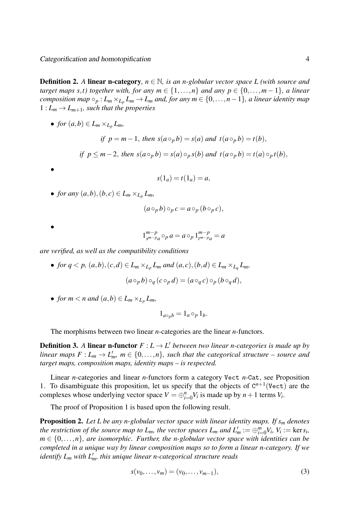Definition 2. *A* linear n-category*, n ∈* N*, is an n-globular vector space L (with source and target maps s,t) together with, for any*  $m \in \{1, \ldots, n\}$  *and any*  $p \in \{0, \ldots, m-1\}$ *, a linear* composition map  $\circ_p: L_m\times_{L_p}L_m\to L_m$  and, for any  $m\in\{0,\ldots,n-1\},$  a linear identity map  $1: L_m \to L_{m+1}$ , such that the properties

• *for*  $(a,b) \in L_m \times L_p L_m$ ,

if 
$$
p = m - 1
$$
, then  $s(a \circ_p b) = s(a)$  and  $t(a \circ_p b) = t(b)$ ,  
if  $p \le m - 2$ , then  $s(a \circ_p b) = s(a) \circ_p s(b)$  and  $t(a \circ_p b) = t(a) \circ_p t(b)$ ,

$$
s(1_a) = t(1_a) = a,
$$

• *for any*  $(a,b),(b,c) \in L_m \times_{L_p} L_m$ *,* 

$$
(a\circ_p b)\circ_p c = a\circ_p (b\circ_p c),
$$

$$
\bullet
$$

*•*

$$
1_{s^{m-p}a}^{m-p} \circ_{p} a = a \circ_{p} 1_{t^{m-p}a}^{m-p} = a
$$

*are verified, as well as the compatibility conditions*

- for  $q < p$ ,  $(a,b)$ ,  $(c,d) \in L_m \times_{L_p} L_m$  and  $(a,c)$ ,  $(b,d) \in L_m \times_{L_q} L_m$ ,  $(a \circ_p b) \circ_q (c \circ_p d) = (a \circ_q c) \circ_p (b \circ_q d)$
- *for*  $m < n$  *and*  $(a,b) \in L_m \times_{L_p} L_m$ ,

$$
1_{a\circ_pb}=1_a\circ_p1_b.
$$

The morphisms between two linear *n*-categories are the linear *n*-functors.

**Definition 3.** A linear n-functor  $F: L \to L'$  between two linear n-categories is made up by *linear maps*  $F: L_m \to L'_m$ ,  $m \in \{0, \ldots, n\}$ , such that the categorical structure – source and *target maps, composition maps, identity maps – is respected.*

Linear *n*-categories and linear *n*-functors form a category Vect *n*-Cat, see Proposition 1. To disambiguate this proposition, let us specify that the objects of  $C^{n+1}$  (Vect) are the complexes whose underlying vector space  $V = \bigoplus_{i=0}^{n} V_i$  is made up by  $n+1$  terms  $V_i$ .

The proof of Proposition 1 is based upon the following result.

Proposition 2. *Let L be any n-globular vector space with linear identity maps. If s<sup>m</sup> denotes the restriction of the source map to*  $L_m$ *, the vector spaces*  $L_m$  *and*  $L'_m := \bigoplus_{i=0}^m V_i$ *,*  $V_i := \text{ker } s_i$ *,*  $m \in \{0, \ldots, n\}$ , are isomorphic. Further, the n-globular vector space with identities can be *completed in a unique way by linear composition maps so to form a linear n-category. If we identify L<sup>m</sup> with L′ <sup>m</sup>, this unique linear n-categorical structure reads*

$$
s(v_0, \dots, v_m) = (v_0, \dots, v_{m-1}),
$$
\n(3)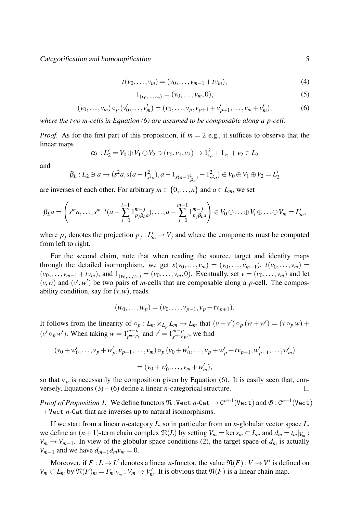Categorification and homotopification 5

$$
t(v_0, \dots, v_m) = (v_0, \dots, v_{m-1} + tv_m),
$$
\n(4)

$$
1_{(v_0,\ldots,v_m)}=(v_0,\ldots,v_m,0),
$$
\n(5)

$$
(\nu_0, \dots, \nu_m) \circ_p (\nu'_0, \dots, \nu'_m) = (\nu_0, \dots, \nu_p, \nu_{p+1} + \nu'_{p+1}, \dots, \nu_m + \nu'_m),
$$
 (6)

*where the two m-cells in Equation (6) are assumed to be composable along a p-cell.*

*Proof.* As for the first part of this proposition, if  $m = 2$  e.g., it suffices to observe that the linear maps

$$
\alpha_L: L_2' = V_0 \oplus V_1 \oplus V_2 \ni (v_0, v_1, v_2) \mapsto 1_{v_0}^2 + 1_{v_1} + v_2 \in L_2
$$

and

$$
\beta_L: L_2 \ni a \mapsto (s^2 a, s(a-1_{s^2 a}^2), a-1_{s(a-1_{s^2 a}^2)} - 1_{s^2 a}^2) \in V_0 \oplus V_1 \oplus V_2 = L'_2
$$

are inverses of each other. For arbitrary  $m \in \{0, \ldots, n\}$  and  $a \in L_m$ , we set

$$
\beta_L a = \left(s^m a, \ldots, s^{m-i} (a - \sum_{j=0}^{i-1} 1^{m-j}_{p_j \beta_L a}), \ldots, a - \sum_{j=0}^{m-1} 1^{m-j}_{p_j \beta_L a}\right) \in V_0 \oplus \ldots \oplus V_i \oplus \ldots \oplus V_m = L'_m,
$$

where  $p_j$  denotes the projection  $p_j: L'_m \to V_j$  and where the components must be computed from left to right.

For the second claim, note that when reading the source, target and identity maps through the detailed isomorphism, we get  $s(v_0, \ldots, v_m) = (v_0, \ldots, v_{m-1}), t(v_0, \ldots, v_m) =$  $(v_0, \ldots, v_{m-1} + tv_m)$ , and  $1_{(v_0, \ldots, v_m)} = (v_0, \ldots, v_m, 0)$ . Eventually, set  $v = (v_0, \ldots, v_m)$  and let  $(v, w)$  and  $(v', w')$  be two pairs of *m*-cells that are composable along a *p*-cell. The composability condition, say for  $(v, w)$ , reads

$$
(w_0, \ldots, w_p) = (v_0, \ldots, v_{p-1}, v_p + t v_{p+1}).
$$

It follows from the linearity of  $\circ_p: L_m \times_{L_p} L_m \to L_m$  that  $(v + v') \circ_p (w + w') = (v \circ_p w) +$  $(v' \circ_p w')$ . When taking  $w = 1^{m-p}_{m-p}$  $t^{m-p}$ <sub>*n*</sub></sub> and  $v' = 1^{m-p}_{s^{m-p}}$ *s <sup>m</sup>−pw′* , we find

$$
(v_0 + w'_0, \dots, v_p + w'_p, v_{p+1}, \dots, v_m) \circ_p (v_0 + w'_0, \dots, v_p + w'_p + tv_{p+1}, w'_{p+1}, \dots, w'_m)
$$
  
=  $(v_0 + w'_0, \dots, v_m + w'_m),$ 

so that  $\circ_p$  is necessarily the composition given by Equation (6). It is easily seen that, conversely, Equations  $(3) - (6)$  define a linear *n*-categorical structure.  $\Box$ 

 $Proof$  of Proposition 1. We define functors  $\mathfrak{N} \colon$  Vect  $n\text{-}\text{\rm Cat} \to \text{\rm C}^{n+1}$  (Vect) and  $\mathfrak{G}:\text{\rm C}^{n+1}$  (Vect) *→* Vect *n*-Cat that are inverses up to natural isomorphisms.

If we start from a linear *n*-category *L*, so in particular from an *n*-globular vector space *L*, we define an  $(n+1)$ -term chain complex  $\mathfrak{N}(L)$  by setting  $V_m = \text{ker } s_m \subset L_m$  and  $d_m = t_m|_{V_m}$ :  $V_m \rightarrow V_{m-1}$ . In view of the globular space conditions (2), the target space of  $d_m$  is actually *V*<sup>*m*</sup>−1 and we have  $d_{m-1}d_m v_m = 0$ .

Moreover, if  $F: L \to L'$  denotes a linear *n*-functor, the value  $\mathfrak{N}(F): V \to V'$  is defined on  $V_m \subset L_m$  by  $\mathfrak{N}(F)_m = F_m|_{V_m} : V_m \to V'_m$ . It is obvious that  $\mathfrak{N}(F)$  is a linear chain map.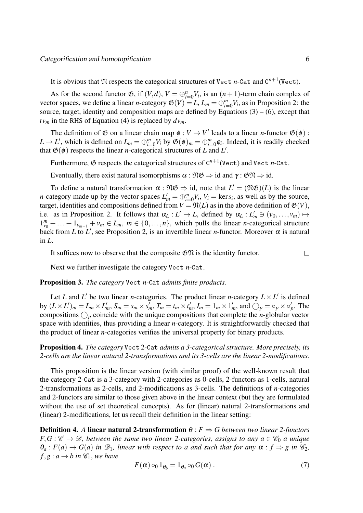It is obvious that  $\mathfrak N$  respects the categorical structures of Vect *n*-Cat and  $C^{n+1}$  (Vect).

As for the second functor  $\mathfrak{G}$ , if  $(V, d)$ ,  $V = \bigoplus_{i=0}^{n} V_i$ , is an  $(n + 1)$ -term chain complex of vector spaces, we define a linear *n*-category  $\mathfrak{G}(V) = L$ ,  $L_m = \bigoplus_{i=0}^m V_i$ , as in Proposition 2: the source, target, identity and composition maps are defined by Equations  $(3) - (6)$ , except that  $t v_m$  in the RHS of Equation (4) is replaced by  $d v_m$ .

The definition of  $\mathfrak G$  on a linear chain map  $\phi : V \to V'$  leads to a linear *n*-functor  $\mathfrak G(\phi)$ :  $L \rightarrow L'$ , which is defined on  $L_m = \bigoplus_{i=0}^m V_i$  by  $\mathfrak{G}(\phi)_m = \bigoplus_{i=0}^m \phi_i$ . Indeed, it is readily checked that  $\mathfrak{G}(\phi)$  respects the linear *n*-categorical structures of *L* and *L'*.

Furthermore,  $\mathfrak G$  respects the categorical structures of  $C^{n+1}$  (Vect) and Vect *n*-Cat.

Eventually, there exist natural isomorphisms  $\alpha : \mathfrak{N} \mathfrak{G} \Rightarrow \mathrm{id}$  and  $\gamma : \mathfrak{GN} \Rightarrow \mathrm{id}$ .

To define a natural transformation  $\alpha : \mathfrak{NS} \Rightarrow id$ , note that  $L' = (\mathfrak{NS})(L)$  is the linear *n*-category made up by the vector spaces  $L'_m = \bigoplus_{i=0}^m V_i$ ,  $V_i = \text{ker } s_i$ , as well as by the source, target, identities and compositions defined from  $V = \mathfrak{N}(L)$  as in the above definition of  $\mathfrak{G}(V)$ , i.e. as in Proposition 2. It follows that  $\alpha_L : L' \to L$ , defined by  $\alpha_L : L'_m \ni (v_0, \ldots, v_m) \mapsto$  $1_{v_0}^m + \ldots + 1_{v_{m-1}} + v_m \in L_m$ ,  $m \in \{0, \ldots, n\}$ , which pulls the linear *n*-categorical structure back from *L* to *L'*, see Proposition 2, is an invertible linear *n*-functor. Moreover  $\alpha$  is natural in *L*.

It suffices now to observe that the composite  $\mathfrak{GN}$  is the identity functor.  $\Box$ 

Next we further investigate the category Vect *n*-Cat.

#### Proposition 3. *The category* Vect *n-*Cat *admits finite products.*

Let *L* and *L'* be two linear *n*-categories. The product linear *n*-category  $L \times L'$  is defined by  $(L \times L')_m = L_m \times L'_m$ ,  $S_m = s_m \times s'_m$ ,  $T_m = t_m \times t'_m$ ,  $I_m = 1_m \times 1'_m$ , and  $\bigcirc_p = \circ_p \times \circ'_p$ . The compositions  $\bigcirc$ <sub>*p*</sub> coincide with the unique compositions that complete the *n*-globular vector space with identities, thus providing a linear *n*-category. It is straightforwardly checked that the product of linear *n*-categories verifies the universal property for binary products.

Proposition 4. *The category* Vect 2*-*Cat *admits a 3-categorical structure. More precisely, its 2-cells are the linear natural 2-transformations and its 3-cells are the linear 2-modifications.*

This proposition is the linear version (with similar proof) of the well-known result that the category 2-Cat is a 3-category with 2-categories as 0-cells, 2-functors as 1-cells, natural 2-transformations as 2-cells, and 2-modifications as 3-cells. The definitions of *n*-categories and 2-functors are similar to those given above in the linear context (but they are formulated without the use of set theoretical concepts). As for (linear) natural 2-transformations and (linear) 2-modifications, let us recall their definition in the linear setting:

**Definition 4.** *A* **linear natural 2-transformation**  $θ$  :  $F$   $\Rightarrow$  *G* between two linear 2-functors  $F,G:\mathscr{C}\to\mathscr{D}$ , between the same two linear 2-categories, assigns to any  $a\in\mathscr{C}_0$  *a unique*  $\theta_a: F(a) \to G(a)$  *in*  $\mathcal{D}_1$ *, linear with respect to a and such that for any*  $\alpha: f \Rightarrow g$  *in*  $\mathcal{C}_2$ *,*  $f, g: a \rightarrow b$  *in*  $\mathcal{C}_1$ *, we have* 

$$
F(\alpha) \circ_0 1_{\theta_b} = 1_{\theta_a} \circ_0 G(\alpha) . \tag{7}
$$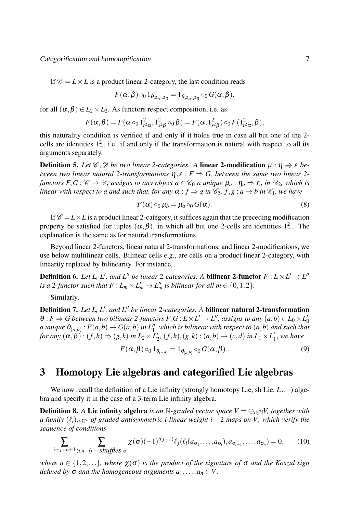If  $\mathcal{C} = L \times L$  is a product linear 2-category, the last condition reads

$$
F(\pmb\alpha,\pmb\beta)\circ_01_{\theta_{t^2\pmb\alpha,t^2\pmb\beta}}=1_{\theta_{s^2\pmb\alpha,s^2\pmb\beta}}\circ_0G(\pmb\alpha,\pmb\beta),
$$

for all  $(\alpha, \beta) \in L_2 \times L_2$ . As functors respect composition, i.e. as

$$
F(\alpha, \beta) = F(\alpha \circ_0 1_{t^2 \alpha}^2, 1_{s^2 \beta}^2 \circ_0 \beta) = F(\alpha, 1_{s^2 \beta}^2) \circ_0 F(1_{t^2 \alpha}^2, \beta),
$$

this naturality condition is verified if and only if it holds true in case all but one of the 2 cells are identities  $1^2$ , i.e. if and only if the transformation is natural with respect to all its arguments separately.

**Definition 5.** Let  $\mathscr{C}, \mathscr{D}$  be two linear 2-categories. A linear 2-modification  $\mu : \eta \Rightarrow \varepsilon$  be*tween two linear natural 2-transformations*  $\eta$ ,  $\varepsilon$  :  $F \Rightarrow G$ , between the same two linear 2*functors*  $F, G: \mathscr{C} \to \mathscr{D}$ , assigns to any object  $a \in \mathscr{C}_0$  *a unique*  $\mu_a: \eta_a \Rightarrow \varepsilon_a$  *in*  $\mathscr{D}_2$ , *which is linear with respect to a and such that, for any*  $\alpha$  :  $f \Rightarrow g$  *in*  $\mathcal{C}_2$ *, f,g* :  $a \rightarrow b$  *in*  $\mathcal{C}_1$ *, we have* 

$$
F(\alpha) \circ_0 \mu_b = \mu_a \circ_0 G(\alpha). \tag{8}
$$

If  $\mathcal{C} = L \times L$  is a product linear 2-category, it suffices again that the preceding modification property be satisfied for tuples  $(\alpha, \beta)$ , in which all but one 2-cells are identities  $1^2$ . The explanation is the same as for natural transformations.

Beyond linear 2-functors, linear natural 2-transformations, and linear 2-modifications, we use below multilinear cells. Bilinear cells e.g., are cells on a product linear 2-category, with linearity replaced by bilinearity. For instance,

**Definition 6.** Let L, L', and L'' be linear 2-categories. A bilinear 2-functor  $F: L \times L' \to L''$ *is a* 2*-functor such that*  $F: L_m \times L'_m \to L''_m$  *is bilinear for all*  $m \in \{0, 1, 2\}$ *.* 

Similarly,

Definition 7. *Let L, L′ , and L′′ be linear* 2*-categories. A* bilinear natural 2-transformation  $\theta$  :  $F \Rightarrow G$  between two bilinear 2-functors  $F, G$  :  $L \times L' \rightarrow L''$ , assigns to any  $(a,b) \in L_0 \times L'_0$ a unique  $\theta_{(a,b)}$  :  $F(a,b)\to G(a,b)$  in  $L''_1$ , which is bilinear with respect to  $(a,b)$  and such that for any  $(\alpha, \beta) : (f,h) \Rightarrow (g,k)$  in  $L_2 \times L'_2$ ,  $(f,h), (g,k) : (a,b) \rightarrow (c,d)$  in  $L_1 \times L'_1$ , we have

$$
F(\alpha, \beta) \circ_0 1_{\theta_{(c,d)}} = 1_{\theta_{(a,b)}} \circ_0 G(\alpha, \beta).
$$
 (9)

## 3 Homotopy Lie algebras and categorified Lie algebras

We now recall the definition of a Lie infinity (strongly homotopy Lie, sh Lie, *L*∞*−*) algebra and specify it in the case of a 3-term Lie infinity algebra.

**Definition 8.** A Lie infinity algebra *is an* N-graded vector space  $V = \bigoplus_{i \in \mathbb{N}} V_i$  together with *a family* (*ℓi*)*i∈*N*<sup>∗</sup> of graded antisymmetric i-linear weight i −* 2 *maps on V , which verify the sequence of conditions*

$$
\sum_{i+j=n+1} \sum_{(i,n-i)-shuffles \sigma} \chi(\sigma) (-1)^{i(j-1)} \ell_j(\ell_i(a_{\sigma_1},\ldots,a_{\sigma_i}),a_{\sigma_{i+1}},\ldots,a_{\sigma_n}) = 0, \qquad (10)
$$

*where*  $n \in \{1, 2, \ldots\}$ *, where*  $\chi(\sigma)$  *is the product of the signature of*  $\sigma$  *and the Koszul sign defined by*  $\sigma$  *and the homogeneous arguments*  $a_1, \ldots, a_n \in V$ .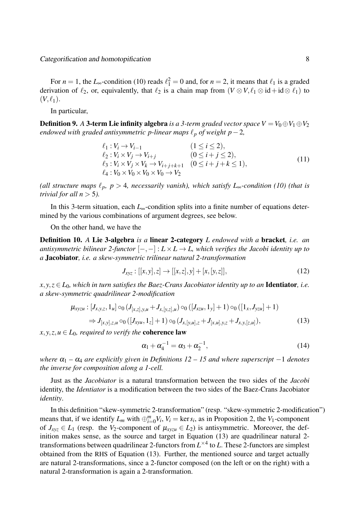For  $n = 1$ , the *L*<sub>∞</sub>-condition (10) reads  $\ell_1^2 = 0$  and, for  $n = 2$ , it means that  $\ell_1$  is a graded derivation of  $\ell_2$ , or, equivalently, that  $\ell_2$  is a chain map from  $(V \otimes V, \ell_1 \otimes id + id \otimes \ell_1)$  to  $(V, \ell_1)$ .

In particular,

**Definition 9.** A 3-term Lie infinity algebra *is a 3-term graded vector space*  $V = V_0 \oplus V_1 \oplus V_2$ *endowed with graded antisymmetric p-linear maps*  $\ell_p$  *of weight p* − 2*,* 

$$
\ell_1: V_i \to V_{i-1} \qquad (1 \le i \le 2),\n\ell_2: V_i \times V_j \to V_{i+j} \qquad (0 \le i+j \le 2),\n\ell_3: V_i \times V_j \times V_k \to V_{i+j+k+1} \qquad (0 \le i+j+k \le 1),\n\ell_4: V_0 \times V_0 \times V_0 \times V_0 \to V_2
$$
\n(11)

*(all structure maps*  $\ell_p$ ,  $p > 4$ , necessarily vanish), which satisfy L<sub>∞</sub>-condition (10) (that is *trivial for all*  $n > 5$ *).* 

In this 3-term situation, each *L*∞-condition splits into a finite number of equations determined by the various combinations of argument degrees, see below.

On the other hand, we have the

Definition 10. *A* Lie 3-algebra *is a* linear 2-category *L endowed with a* bracket*, i.e. an antisymmetric bilinear 2-functor*  $[-,-]: L \times L \rightarrow L$ , which verifies the Jacobi identity up to *a* Jacobiator*, i.e. a skew-symmetric trilinear natural 2-transformation*

$$
J_{xyz} : [[x, y], z] \to [[x, z], y] + [x, [y, z]], \qquad (12)
$$

 $x, y, z \in L_0$ , which in turn satisfies the Baez-Crans Jacobiator identity up to an **Identiator**, i.e. *a skew-symmetric quadrilinear 2-modification*

$$
\mu_{xyzu} : [J_{x,y,z}, 1_u] \circ_0 (J_{[x,z],y,u} + J_{x,[y,z],u}) \circ_0 ([J_{xzu}, 1_y] + 1) \circ_0 ([1_x, J_{yzu}] + 1)
$$
  
\n
$$
\Rightarrow J_{[x,y],z,u} \circ_0 ([J_{xyu}, 1_z] + 1) \circ_0 (J_{x,[y,u],z} + J_{[x,u],y,z} + J_{x,y,[z,u]}),
$$
\n(13)

 $x, y, z, u \in L_0$ *, required to verify the* coherence law

$$
\alpha_1 + \alpha_4^{-1} = \alpha_3 + \alpha_2^{-1}, \tag{14}
$$

*where*  $α<sub>1</sub> − α<sub>4</sub>$  *are explicitly given in Definitions 12 – 15 and where superscript –1 denotes the inverse for composition along a 1-cell.*

Just as the *Jacobiator* is a natural transformation between the two sides of the *Jacobi* identity, the *Identiator* is a modification between the two sides of the Baez-Crans Jacobiator *identity*.

In this definition "skew-symmetric 2-transformation" (resp. "skew-symmetric 2-modification") means that, if we identify  $L_m$  with  $\bigoplus_{i=0}^m V_i$ ,  $V_i = \text{ker } s_i$ , as in Proposition 2, the  $V_1$ -component of  $J_{xyz} \in L_1$  (resp. the  $V_2$ -component of  $\mu_{xyzu} \in L_2$ ) is antisymmetric. Moreover, the definition makes sense, as the source and target in Equation (13) are quadrilinear natural 2 transformations between quadrilinear 2-functors from *L ×*4 to *L.* These 2-functors are simplest obtained from the RHS of Equation (13). Further, the mentioned source and target actually are natural 2-transformations, since a 2-functor composed (on the left or on the right) with a natural 2-transformation is again a 2-transformation.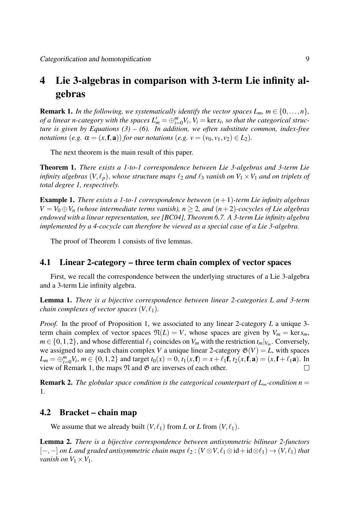### 4 Lie 3-algebras in comparison with 3-term Lie infinity algebras

**Remark 1.** *In the following, we systematically identify the vector spaces*  $L_m$ *,*  $m \in \{0, \ldots, n\}$ *, of a linear n-category with the spaces*  $L'_m = \bigoplus_{i=0}^m V_i$ *,*  $V_i = \ker s_i$ *, so that the categorical structure is given by Equations (3) – (6). In addition, we often substitute common, index-free notations*  $(e.g. \alpha = (x, \mathbf{f}, \mathbf{a}))$  *for our notations*  $(e.g. v = (v_0, v_1, v_2) \in L_2)$ *.* 

The next theorem is the main result of this paper.

Theorem 1. *There exists a 1-to-1 correspondence between Lie 3-algebras and 3-term Lie infinity algebras*  $(V, \ell_p)$ *, whose structure maps*  $\ell_2$  *and*  $\ell_3$  *vanish on*  $V_1 \times V_1$  *and on triplets of total degree 1, respectively.*

Example 1. *There exists a 1-to-1 correspondence between* (*n*+1)*-term Lie infinity algebras V* =  $V_0$  ⊕  $V_n$  *(whose intermediate terms vanish), n* ≥ 2*, and*  $(n+2)$ *-cocycles of Lie algebras endowed with a linear representation, see [BC04], Theorem 6.7. A 3-term Lie infinity algebra implemented by a 4-cocycle can therefore be viewed as a special case of a Lie 3-algebra.*

The proof of Theorem 1 consists of five lemmas.

#### 4.1 Linear 2-category – three term chain complex of vector spaces

First, we recall the correspondence between the underlying structures of a Lie 3-algebra and a 3-term Lie infinity algebra.

Lemma 1. *There is a bijective correspondence between linear 2-categories L and 3-term chain complexes of vector spaces*  $(V, \ell_1)$ *.* 

*Proof.* In the proof of Proposition 1, we associated to any linear 2-category *L* a unique 3 term chain complex of vector spaces  $\mathfrak{N}(L) = V$ , whose spaces are given by  $V_m = \text{ker } s_m$ ,  $m \in \{0, 1, 2\}$ , and whose differential  $\ell_1$  coincides on  $V_m$  with the restriction  $t_m|_{V_m}$ . Conversely, we assigned to any such chain complex *V* a unique linear 2-category  $\mathfrak{G}(V) = L$ , with spaces  $L_m = \bigoplus_{i=0}^m V_i$ ,  $m \in \{0, 1, 2\}$  and target  $t_0(x) = 0$ ,  $t_1(x, \mathbf{f}) = x + \ell_1 \mathbf{f}$ ,  $t_2(x, \mathbf{f}, \mathbf{a}) = (x, \mathbf{f} + \ell_1 \mathbf{a})$ . In view of Remark 1, the maps  $\mathfrak N$  and  $\mathfrak G$  are inverses of each other.  $\Box$ 

**Remark 2.** *The globular space condition is the categorical counterpart of L*<sub>∞</sub>-condition  $n =$ 1*.*

#### 4.2 Bracket – chain map

We assume that we already built  $(V, \ell_1)$  from *L* or *L* from  $(V, \ell_1)$ .

Lemma 2. *There is a bijective correspondence between antisymmetric bilinear 2-functors* [*−,−*] *on L and graded antisymmetric chain maps ℓ*<sup>2</sup> : (*V ⊗V, ℓ*<sup>1</sup> *⊗*id+id*⊗ℓ*1) *→* (*V, ℓ*1) *that vanish on*  $V_1 \times V_1$ *.*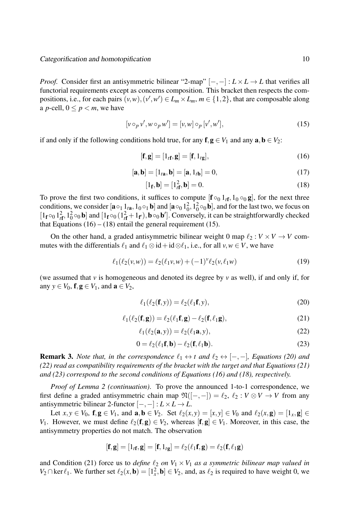*Proof.* Consider first an antisymmetric bilinear "2-map"  $[-,-]: L \times L \rightarrow L$  that verifies all functorial requirements except as concerns composition. This bracket then respects the compositions, i.e., for each pairs  $(v, w), (v', w') \in L_m \times L_m$ ,  $m \in \{1, 2\}$ , that are composable along a *p*-cell,  $0 \le p < m$ , we have

$$
[v \circ_p v', w \circ_p w'] = [v, w] \circ_p [v', w'], \tag{15}
$$

if and only if the following conditions hold true, for any  $f, g \in V_1$  and any  $a, b \in V_2$ :

$$
[\mathbf{f}, \mathbf{g}] = [1_{t\mathbf{f}}, \mathbf{g}] = [\mathbf{f}, 1_{t\mathbf{g}}],
$$
\n(16)

$$
[\mathbf{a}, \mathbf{b}] = [1_{t\mathbf{a}}, \mathbf{b}] = [\mathbf{a}, 1_{t\mathbf{b}}] = 0,
$$
\n(17)

$$
[1_f, \mathbf{b}] = [1_f^2, \mathbf{b}] = 0. \tag{18}
$$

To prove the first two conditions, it suffices to compute  $[\mathbf{f} \circ_0 \mathbf{1}_{t\mathbf{f}}, \mathbf{1}_0 \circ_0 \mathbf{g}]$ , for the next three conditions, we consider  $[\mathbf{a} \circ_1 1_{\mathbf{a}}, 1_0 \circ_1 \mathbf{b}]$  and  $[\mathbf{a} \circ_0 1_0^2, 1_0^2 \circ_0 \mathbf{b}]$ , and for the last two, we focus on  $[1_f \circ_0 1_f^2, 1_0^2 \circ_0 \mathbf{b}]$  and  $[1_f \circ_0 (1_f^2 + 1_f), \mathbf{b} \circ_0 \mathbf{b}']$ . Conversely, it can be straightforwardly checked that Equations  $(16) - (18)$  entail the general requirement  $(15)$ .

On the other hand, a graded antisymmetric bilinear weight 0 map  $\ell_2 : V \times V \to V$  commutes with the differentials  $\ell_1$  and  $\ell_1 \otimes id + id \otimes \ell_1$ , i.e., for all  $v, w \in V$ , we have

$$
\ell_1(\ell_2(v,w)) = \ell_2(\ell_1 v, w) + (-1)^v \ell_2(v, \ell_1 w)
$$
\n(19)

(we assumed that *v* is homogeneous and denoted its degree by *v* as well), if and only if, for any  $y \in V_0$ ,  $f, g \in V_1$ , and  $a \in V_2$ ,

$$
\ell_1(\ell_2(\mathbf{f}, \mathbf{y})) = \ell_2(\ell_1 \mathbf{f}, \mathbf{y}),\tag{20}
$$

$$
\ell_1(\ell_2(\mathbf{f}, \mathbf{g})) = \ell_2(\ell_1 \mathbf{f}, \mathbf{g}) - \ell_2(\mathbf{f}, \ell_1 \mathbf{g}),\tag{21}
$$

$$
\ell_1(\ell_2(\mathbf{a},y)) = \ell_2(\ell_1\mathbf{a},y),\tag{22}
$$

$$
0 = \ell_2(\ell_1 \mathbf{f}, \mathbf{b}) - \ell_2(\mathbf{f}, \ell_1 \mathbf{b}).
$$
\n(23)

**Remark 3.** *Note that, in the correspondence*  $\ell_1 \leftrightarrow t$  *and*  $\ell_2 \leftrightarrow [-,-]$ *, Equations (20) and (22) read as compatibility requirements of the bracket with the target and that Equations (21) and (23) correspond to the second conditions of Equations (16) and (18), respectively.*

*Proof of Lemma 2 (continuation)*. To prove the announced 1-to-1 correspondence, we first define a graded antisymmetric chain map  $\mathfrak{N}([-,-]) = \ell_2, \ell_2 : V \otimes V \rightarrow V$  from any antisymmetric bilinear 2-functor  $[-,-]: L \times L \rightarrow L$ .

Let  $x, y \in V_0$ ,  $f, g \in V_1$ , and  $a, b \in V_2$ . Set  $\ell_2(x, y) = [x, y] \in V_0$  and  $\ell_2(x, g) = [1_x, g] \in$ *V*<sub>1</sub>. However, we must define  $\ell_2(f, g) \in V_2$ , whereas  $[f, g] \in V_1$ . Moreover, in this case, the antisymmetry properties do not match. The observation

$$
[\mathbf{f}, \mathbf{g}] = [1_{t\mathbf{f}}, \mathbf{g}] = [\mathbf{f}, 1_{t\mathbf{g}}] = \ell_2(\ell_1 \mathbf{f}, \mathbf{g}) = \ell_2(\mathbf{f}, \ell_1 \mathbf{g})
$$

and Condition (21) force us to *define*  $\ell_2$  *on*  $V_1 \times V_1$  *as a symmetric bilinear map valued in V*<sub>2</sub> ∩ ker  $\ell_1$ . We further set  $\ell_2(x, \mathbf{b}) = [1_x^2, \mathbf{b}] \in V_2$ , and, as  $\ell_2$  is required to have weight 0, we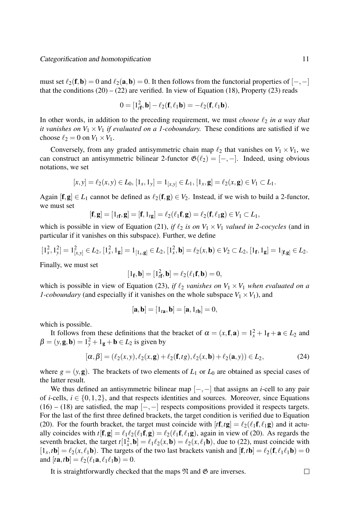must set  $\ell_2(f, b) = 0$  and  $\ell_2(a, b) = 0$ . It then follows from the functorial properties of  $[-, -]$ that the conditions  $(20) - (22)$  are verified. In view of Equation (18), Property (23) reads

$$
0=[1tf2,\mathbf{b}]-\ell_2(\mathbf{f},\ell_1\mathbf{b})=-\ell_2(\mathbf{f},\ell_1\mathbf{b}).
$$

In other words, in addition to the preceding requirement, we must *choose ℓ*<sup>2</sup> *in a way that it vanishes on*  $V_1 \times V_1$  *if evaluated on a 1-coboundary.* These conditions are satisfied if we choose  $\ell_2 = 0$  on  $V_1 \times V_1$ .

Conversely, from any graded antisymmetric chain map  $\ell_2$  that vanishes on  $V_1 \times V_1$ , we can construct an antisymmetric bilinear 2-functor  $\mathfrak{G}(\ell_2) = [-,-]$ . Indeed, using obvious notations, we set

$$
[x,y] = \ell_2(x,y) \in L_0, [1_x,1_y] = 1_{[x,y]} \in L_1, [1_x,\mathbf{g}] = \ell_2(x,\mathbf{g}) \in V_1 \subset L_1.
$$

Again  $[f, g] \in L_1$  cannot be defined as  $\ell_2(f, g) \in V_2$ . Instead, if we wish to build a 2-functor, we must set

$$
[\mathbf{f},\mathbf{g}]=\left[1_{t\mathbf{f}},\mathbf{g}\right]=\left[\mathbf{f},1_{t\mathbf{g}}\right]=\ell_2(\ell_1\mathbf{f},\mathbf{g})=\ell_2(\mathbf{f},\ell_1\mathbf{g})\in V_1\subset L_1,
$$

which is possible in view of Equation (21), *if*  $\ell_2$  *is on*  $V_1 \times V_1$  *valued in 2-cocycles* (and in particular if it vanishes on this subspace). Further, we define

$$
[1_x^2, 1_y^2] = 1_{[x,y]}^2 \in L_2, [1_x^2, 1_g] = 1_{[1_x, g]} \in L_2, [1_x^2, \mathbf{b}] = \ell_2(x, \mathbf{b}) \in V_2 \subset L_2, [1_f, 1_g] = 1_{[\mathbf{f}, \mathbf{g}]} \in L_2.
$$

Finally, we must set

$$
[1_f, \mathbf{b}] = [1_f^2, \mathbf{b}] = \ell_2(\ell_1 f, \mathbf{b}) = 0,
$$

which is possible in view of Equation (23), *if*  $\ell_2$  *vanishes on*  $V_1 \times V_1$  *when evaluated on a 1-coboundary* (and especially if it vanishes on the whole subspace  $V_1 \times V_1$ ), and

$$
[\mathbf{a},\mathbf{b}]=\left[1_{t\mathbf{a}},\mathbf{b}\right]=\left[\mathbf{a},1_{t\mathbf{b}}\right]=0,
$$

which is possible.

It follows from these definitions that the bracket of  $\alpha = (x, \mathbf{f}, \mathbf{a}) = 1_x^2 + 1_\mathbf{f} + \mathbf{a} \in L_2$  and  $\beta = (y, \mathbf{g}, \mathbf{b}) = 1_y^2 + 1_\mathbf{g} + \mathbf{b} \in L_2$  is given by

$$
[\alpha, \beta] = (\ell_2(x, y), \ell_2(x, g) + \ell_2(f, tg), \ell_2(x, b) + \ell_2(a, y)) \in L_2,
$$
 (24)

where  $g = (y, \mathbf{g})$ . The brackets of two elements of  $L_1$  or  $L_0$  are obtained as special cases of the latter result.

We thus defined an antisymmetric bilinear map [*−,−*] that assigns an *i*-cell to any pair of *i*-cells,  $i \in \{0, 1, 2\}$ , and that respects identities and sources. Moreover, since Equations (16) – (18) are satisfied, the map [*−,−*] respects compositions provided it respects targets. For the last of the first three defined brackets, the target condition is verified due to Equation (20). For the fourth bracket, the target must coincide with  $[f\mathbf{f}, t\mathbf{g}] = \ell_2(\ell_1 \mathbf{f}, \ell_1 \mathbf{g})$  and it actually coincides with  $t[f, g] = \ell_1 \ell_2(\ell_1 f, g) = \ell_2(\ell_1 f, \ell_1 g)$ , again in view of (20). As regards the seventh bracket, the target  $t[1_x^2, \mathbf{b}] = \ell_1 \ell_2(x, \mathbf{b}) = \ell_2(x, \ell_1 \mathbf{b})$ , due to (22), must coincide with  $[1_x, t\mathbf{b}] = \ell_2(x, \ell_1\mathbf{b})$ . The targets of the two last brackets vanish and  $[\mathbf{f}, t\mathbf{b}] = \ell_2(\mathbf{f}, \ell_1\ell_1\mathbf{b}) = 0$ and  $[t\mathbf{a}, t\mathbf{b}] = \ell_2(\ell_1\mathbf{a}, \ell_1\ell_1\mathbf{b}) = 0.$ 

It is straightforwardly checked that the maps  $\mathfrak N$  and  $\mathfrak G$  are inverses.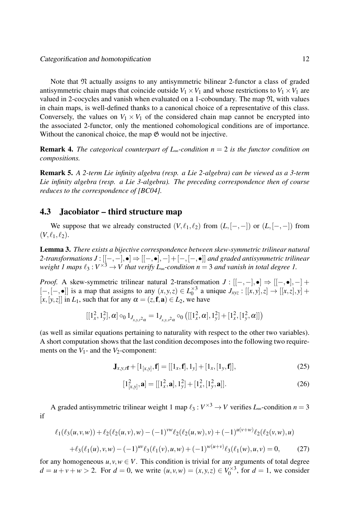Note that N actually assigns to any antisymmetric bilinear 2-functor a class of graded antisymmetric chain maps that coincide outside  $V_1 \times V_1$  and whose restrictions to  $V_1 \times V_1$  are valued in 2-cocycles and vanish when evaluated on a 1-coboundary. The map  $\mathfrak{N}$ , with values in chain maps, is well-defined thanks to a canonical choice of a representative of this class. Conversely, the values on  $V_1 \times V_1$  of the considered chain map cannot be encrypted into the associated 2-functor, only the mentioned cohomological conditions are of importance. Without the canonical choice, the map  $\mathfrak{G}$  would not be injective.

Remark 4. *The categorical counterpart of L*∞*-condition n* = 2 *is the functor condition on compositions.*

Remark 5. *A 2-term Lie infinity algebra (resp. a Lie 2-algebra) can be viewed as a 3-term Lie infinity algebra (resp. a Lie 3-algebra). The preceding correspondence then of course reduces to the correspondence of [BC04].*

#### 4.3 Jacobiator – third structure map

We suppose that we already constructed  $(V, \ell_1, \ell_2)$  from  $(L, [-,-])$  or  $(L, [-,-])$  from  $(V, \ell_1, \ell_2).$ 

Lemma 3. *There exists a bijective correspondence between skew-symmetric trilinear natural 2-transformations J* : [[*−,−*]*,•*] *⇒* [[*−,•*]*,−*]+[*−,*[*−,•*]] *and graded antisymmetric trilinear weight 1 maps*  $\ell_3: V^{\times 3} \to V$  that verify  $L_{\infty}$ -condition  $n = 3$  and vanish in total degree 1.

*Proof.* A skew-symmetric trilinear natural 2-transformation  $J : [[-, -], \bullet] \Rightarrow [[-,\bullet], -] +$ [*−,*[*−,•*]] is a map that assigns to any (*x, y,z*) *∈ L ×*3  $J_{xyz}$  :  $[[x, y], z] \rightarrow [[x, z], y] +$  $[x, [y, z]]$  in  $L_1$ , such that for any  $\alpha = (z, \mathbf{f}, \mathbf{a}) \in L_2$ , we have

$$
\left[[1_x^2,1_y^2],\alpha\right] \circ_0 1_{J_{x,y,t^2\alpha}} = 1_{J_{x,y,s^2\alpha}} \circ_0 \left( \left[[1_x^2,\alpha],1_y^2]+[1_x^2,[1_y^2,\alpha]\right] \right)
$$

(as well as similar equations pertaining to naturality with respect to the other two variables). A short computation shows that the last condition decomposes into the following two requirements on the  $V_1$ - and the  $V_2$ -component:

$$
\mathbf{J}_{x,y,t\mathbf{f}} + [1_{[x,y]}, \mathbf{f}] = [[1_x, \mathbf{f}], 1_y] + [1_x, [1_y, \mathbf{f}]], \tag{25}
$$

$$
[1_{[x,y]}^2, \mathbf{a}] = [[1_x^2, \mathbf{a}], 1_y^2] + [1_x^2, [1_y^2, \mathbf{a}]]. \tag{26}
$$

A graded antisymmetric trilinear weight 1 map  $\ell_3: V^{\times 3} \to V$  verifies  $L_{\infty}$ -condition  $n = 3$ if

$$
\ell_1(\ell_3(u,v,w)) + \ell_2(\ell_2(u,v),w) - (-1)^{vw}\ell_2(\ell_2(u,w),v) + (-1)^{u(v+w)}\ell_2(\ell_2(v,w),u)
$$
  
+ 
$$
\ell_3(\ell_1(u),v,w) - (-1)^{uv}\ell_3(\ell_1(v),u,w) + (-1)^{w(u+v)}\ell_3(\ell_1(w),u,v) = 0,
$$
 (27)

for any homogeneous  $u, v, w \in V$ . This condition is trivial for any arguments of total degree  $d = u + v + w > 2$ . For  $d = 0$ , we write  $(u, v, w) = (x, y, z) \in V_0^{\times 3}$  $a_0^{x,y}$ , for  $d = 1$ , we consider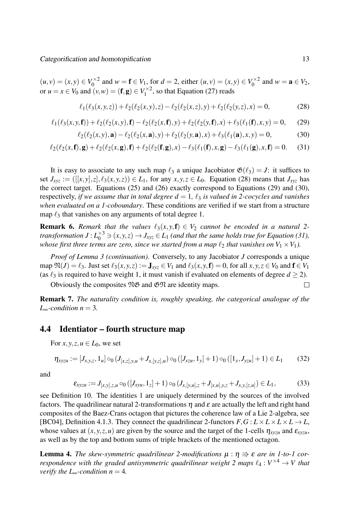$(u, v) = (x, y) \in V_0^{\times 2}$  $V_0^{\times 2}$  and  $w = \mathbf{f} \in V_1$ , for  $d = 2$ , either  $(u, v) = (x, y) \in V_0^{\times 2}$  $\alpha_0^{\times 2}$  and  $w = \mathbf{a} \in V_2$ , or  $u = x \in V_0$  and  $(v, w) = (\mathbf{f}, \mathbf{g}) \in V_1^{\times 2}$  $I_1^{\times 2}$ , so that Equation (27) reads

$$
\ell_1(\ell_3(x,y,z)) + \ell_2(\ell_2(x,y),z) - \ell_2(\ell_2(x,z),y) + \ell_2(\ell_2(y,z),x) = 0,\t(28)
$$

$$
\ell_1(\ell_3(x,y,\mathbf{f})) + \ell_2(\ell_2(x,y),\mathbf{f}) - \ell_2(\ell_2(x,\mathbf{f}),y) + \ell_2(\ell_2(y,\mathbf{f}),x) + \ell_3(\ell_1(\mathbf{f}),x,y) = 0, \quad (29)
$$

$$
\ell_2(\ell_2(x,y),\mathbf{a}) - \ell_2(\ell_2(x,\mathbf{a}),y) + \ell_2(\ell_2(y,\mathbf{a}),x) + \ell_3(\ell_1(\mathbf{a}),x,y) = 0,\tag{30}
$$

$$
\ell_2(\ell_2(x,\mathbf{f}),\mathbf{g}) + \ell_2(\ell_2(x,\mathbf{g}),\mathbf{f}) + \ell_2(\ell_2(\mathbf{f},\mathbf{g}),x) - \ell_3(\ell_1(\mathbf{f}),x,\mathbf{g}) - \ell_3(\ell_1(\mathbf{g}),x,\mathbf{f}) = 0. \tag{31}
$$

It is easy to associate to any such map  $\ell_3$  a unique Jacobiator  $\mathfrak{G}(\ell_3) = J$ : it suffices to set  $J_{xyz} := ([[x,y],z], \ell_3(x,y,z)) \in L_1$ , for any  $x, y, z \in L_0$ . Equation (28) means that  $J_{xyz}$  has the correct target. Equations (25) and (26) exactly correspond to Equations (29) and (30), respectively, *if we assume that in total degree*  $d = 1$ *,*  $\ell_3$  *is valued in 2-cocycles and vanishes when evaluated on a 1-coboundary*. These conditions are verified if we start from a structure map  $\ell_3$  that vanishes on any arguments of total degree 1.

**Remark 6.** Remark that the values  $\ell_3(x, y, f) \in V_2$  cannot be encoded in a natural 2*transformation*  $J$  :  $L_0^{\times 3}$   $\ni$   $(x, y, z)$   $\rightarrow$   $J_{xyz}$   $\in$   $L_1$  (and that the same holds true for Equation (31), *whose first three terms are zero, since we started from a map*  $\ell_2$  *that vanishes on*  $V_1 \times V_1$ *).* 

*Proof of Lemma 3 (continuation)*. Conversely, to any Jacobiator *J* corresponds a unique map  $\mathfrak{N}(J) = \ell_3$ . Just set  $\ell_3(x, y, z) := \mathbf{J}_{xyz} \in V_1$  and  $\ell_3(x, y, \mathbf{f}) = 0$ , for all  $x, y, z \in V_0$  and  $\mathbf{f} \in V_1$ (as  $\ell_3$  is required to have weight 1, it must vanish if evaluated on elements of degree  $d \geq 2$ ).

Obviously the composites  $\mathfrak{NS}$  and  $\mathfrak{GN}$  are identity maps.

Remark 7. *The naturality condition is, roughly speaking, the categorical analogue of the*  $L_{\infty}$ *-condition n* = 3.

#### 4.4 Identiator – fourth structure map

For  $x, y, z, u \in L_0$ , we set

$$
\eta_{xyzu} := [J_{x,y,z}, 1_u] \circ_0 (J_{[x,z],y,u} + J_{x,[y,z],u}) \circ_0 ([J_{xzu}, 1_y] + 1) \circ_0 ([1_x, J_{yzu}] + 1) \in L_1
$$
(32)

and

$$
\varepsilon_{xyzu} := J_{[x,y],z,u} \circ_0 ([J_{xyu}, 1_z] + 1) \circ_0 (J_{x,[y,u],z} + J_{[x,u],y,z} + J_{x,y,[z,u]}) \in L_1,
$$
\n(33)

see Definition 10. The identities 1 are uniquely determined by the sources of the involved factors. The quadrilinear natural 2-transformations  $\eta$  and  $\varepsilon$  are actually the left and right hand composites of the Baez-Crans octagon that pictures the coherence law of a Lie 2-algebra, see [BC04], Definition 4.1.3. They connect the quadrilinear 2-functors  $F, G: L \times L \times L \times L \to L$ , whose values at  $(x, y, z, u)$  are given by the source and the target of the 1-cells  $\eta_{xyzu}$  and  $\varepsilon_{xyzu}$ , as well as by the top and bottom sums of triple brackets of the mentioned octagon.

**Lemma 4.** The skew-symmetric quadrilinear 2-modifications  $\mu : \eta \Rightarrow \varepsilon$  are in 1-to-1 cor*respondence with the graded antisymmetric quadrilinear weight 2 maps ℓ*<sup>4</sup> : *V <sup>×</sup>*<sup>4</sup> *→ V that verify the L*∞-*condition n* = 4*.* 

 $\Box$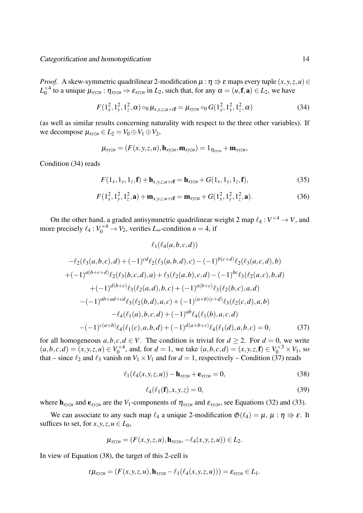*Proof.* A skew-symmetric quadrilinear 2-modification  $\mu : \eta \Rightarrow \varepsilon$  maps every tuple  $(x, y, z, u) \in$  $L_0^{\times 4}$  $\alpha_0^{\times 4}$  to a unique  $\mu_{xyzu} : \eta_{xyzu} \Rightarrow \varepsilon_{xyzu}$  in  $L_2$ , such that, for any  $\alpha = (u, \mathbf{f}, \mathbf{a}) \in L_2$ , we have

$$
F(1_x^2, 1_y^2, 1_z^2, \alpha) \circ_0 \mu_{x, y, z, u+t\mathbf{f}} = \mu_{xyzu} \circ_0 G(1_x^2, 1_y^2, 1_z^2, \alpha)
$$
 (34)

(as well as similar results concerning naturality with respect to the three other variables). If we decompose  $\mu_{xyzu} \in L_2 = V_0 \oplus V_1 \oplus V_2$ ,

$$
\boldsymbol{\mu}_{\mathit{x}\mathit{y}\mathit{z}\mathit{u}} = (F(\mathit{x}, \mathit{y}, \mathit{z}, \mathit{u}), \mathbf{h}_{\mathit{x}\mathit{y}\mathit{z}\mathit{u}}, \mathbf{m}_{\mathit{x}\mathit{y}\mathit{z}\mathit{u}}) = 1_{\eta_{\mathit{x}\mathit{y}\mathit{z}\mathit{u}}} + \mathbf{m}_{\mathit{x}\mathit{y}\mathit{z}\mathit{u}},
$$

Condition (34) reads

$$
F(1x, 1y, 1z, \mathbf{f}) + \mathbf{h}_{x, y, z, u + f\mathbf{f}} = \mathbf{h}_{xyzu} + G(1x, 1y, 1z, \mathbf{f}),
$$
(35)

$$
F(1_x^2, 1_y^2, 1_z^2, \mathbf{a}) + \mathbf{m}_{x, y, z, u+t\mathbf{f}} = \mathbf{m}_{xyzu} + G(1_x^2, 1_y^2, 1_z^2, \mathbf{a}).
$$
 (36)

On the other hand, a graded antisymmetric quadrilinear weight 2 map  $\ell_4: V^{\times 4} \to V$ , and more precisely  $\ell_4: V_0^{\times 4} \to V_2$ , verifies *L*<sub>∞</sub>-condition *n* = 4, if

$$
\ell_1(\ell_4(a,b,c,d))
$$
  
\n
$$
-\ell_2(\ell_3(a,b,c),d) + (-1)^{cd}\ell_2(\ell_3(a,b,d),c) - (-1)^{b(c+d)}\ell_2(\ell_3(a,c,d),b)
$$
  
\n
$$
+(-1)^{a(b+c+d)}\ell_2(\ell_3(b,c,d),a) + \ell_3(\ell_2(a,b),c,d) - (-1)^{bc}\ell_3(\ell_2(a,c),b,d)
$$
  
\n
$$
+(-1)^{d(b+c)}\ell_3(\ell_2(a,d),b,c) + (-1)^{a(b+c)}\ell_3(\ell_2(b,c),a,d)
$$
  
\n
$$
-(-1)^{ab+ad+cd}\ell_3(\ell_2(b,d),a,c) + (-1)^{(a+b)(c+d)}\ell_3(\ell_2(c,d),a,b)
$$
  
\n
$$
-\ell_4(\ell_1(a),b,c,d) + (-1)^{ab}\ell_4(\ell_1(b),a,c,d)
$$
  
\n
$$
-(-1)^{c(a+b)}\ell_4(\ell_1(c),a,b,d) + (-1)^{d(a+b+c)}\ell_4(\ell_1(d),a,b,c) = 0,
$$
 (37)

for all homogeneous  $a, b, c, d \in V$ . The condition is trivial for  $d \ge 2$ . For  $d = 0$ , we write  $(a, b, c, d) = (x, y, z, u) \in V_0^{\times 4}$  $Q_0^{\times 4}$ , and, for  $d = 1$ , we take  $(a, b, c, d) = (x, y, z, \mathbf{f}) \in V_0^{\times 3} \times V_1$ , so that – since  $\ell_2$  and  $\ell_3$  vanish on  $V_1 \times V_1$  and for  $d = 1$ , respectively – Condition (37) reads

$$
\ell_1(\ell_4(x, y, z, u)) - \mathbf{h}_{\text{xyzu}} + \mathbf{e}_{\text{xyzu}} = 0,
$$
\n(38)

$$
\ell_4(\ell_1(\mathbf{f}), x, y, z) = 0,\tag{39}
$$

where  $h_{xyzu}$  and  $e_{xyzu}$  are the *V*<sub>1</sub>-components of  $\eta_{xyzu}$  and  $\varepsilon_{xyzu}$ , see Equations (32) and (33).

We can associate to any such map  $\ell_4$  a unique 2-modification  $\mathfrak{G}(\ell_4) = \mu$ ,  $\mu : \eta \Rightarrow \varepsilon$ . It suffices to set, for  $x, y, z, u \in L_0$ ,

$$
\mu_{xyzu} = (F(x, y, z, u), \mathbf{h}_{xyzu}, -\ell_4(x, y, z, u)) \in L_2.
$$

In view of Equation (38), the target of this 2-cell is

$$
t\mu_{xyzu}=(F(x,y,z,u),\mathbf{h}_{xyzu}-\ell_1(\ell_4(x,y,z,u)))=\varepsilon_{xyzu}\in L_1.
$$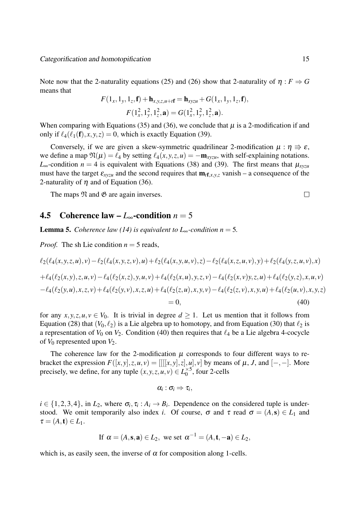Note now that the 2-naturality equations (25) and (26) show that 2-naturality of  $\eta : F \Rightarrow G$ means that

$$
F(1_x, 1_y, 1_z, \mathbf{f}) + \mathbf{h}_{x, y, z, u + r\mathbf{f}} = \mathbf{h}_{xyzu} + G(1_x, 1_y, 1_z, \mathbf{f}),
$$
  

$$
F(1_x^2, 1_y^2, 1_z^2, \mathbf{a}) = G(1_x^2, 1_y^2, 1_z^2, \mathbf{a}).
$$

When comparing with Equations (35) and (36), we conclude that  $\mu$  is a 2-modification if and only if  $\ell_4(\ell_1(f), x, y, z) = 0$ , which is exactly Equation (39).

Conversely, if we are given a skew-symmetric quadrilinear 2-modification  $\mu : \eta \Rightarrow \varepsilon$ , we define a map  $\mathfrak{N}(\mu) = \ell_4$  by setting  $\ell_4(x, y, z, u) = -\mathbf{m}_{xyzu}$ , with self-explaining notations. *L*∞-condition *n* = 4 is equivalent with Equations (38) and (39). The first means that  $μ_{xyzu}$ must have the target  $\epsilon_{xyzu}$  and the second requires that  $\mathbf{m}_{t}f_{,x,y,z}$  vanish – a consequence of the 2-naturality of  $\eta$  and of Equation (36).

The maps  $\mathfrak N$  and  $\mathfrak G$  are again inverses.

#### 4.5 Coherence law –  $L_{∞}$ -condition *n* = 5

**Lemma 5.** *Coherence law (14) is equivalent to*  $L_{\infty}$ *-condition n* = 5.

*Proof.* The sh Lie condition  $n = 5$  reads,

$$
\ell_2(\ell_4(x, y, z, u), v) - \ell_2(\ell_4(x, y, z, v), u) + \ell_2(\ell_4(x, y, u, v), z) - \ell_2(\ell_4(x, z, u, v), y) + \ell_2(\ell_4(y, z, u, v), x)
$$
  
+ 
$$
\ell_4(\ell_2(x, y), z, u, v) - \ell_4(\ell_2(x, z), y, u, v) + \ell_4(\ell_2(x, u), y, z, v) - \ell_4(\ell_2(x, v), y, z, u) + \ell_4(\ell_2(y, z), x, u, v)
$$
  
- 
$$
\ell_4(\ell_2(y, u), x, z, v) + \ell_4(\ell_2(y, v), x, z, u) + \ell_4(\ell_2(z, u), x, y, v) - \ell_4(\ell_2(z, v), x, y, u) + \ell_4(\ell_2(u, v), x, y, z)
$$
  
= 0, (40)

for any  $x, y, z, u, v \in V_0$ . It is trivial in degree  $d \geq 1$ . Let us mention that it follows from Equation (28) that  $(V_0, \ell_2)$  is a Lie algebra up to homotopy, and from Equation (30) that  $\ell_2$  is a representation of  $V_0$  on  $V_2$ . Condition (40) then requires that  $\ell_4$  be a Lie algebra 4-cocycle of  $V_0$  represented upon  $V_2$ .

The coherence law for the 2-modification  $\mu$  corresponds to four different ways to rebracket the expression  $F([x, y], z, u, v) = [[[[x, y], z], u], v]$  by means of  $\mu$ , J, and  $[-, -]$ . More precisely, we define, for any tuple  $(x, y, z, u, v) \in L_0^{\times 5}$  $_{0}^{\times}$ <sup>5</sup>, four 2-cells

$$
\alpha_i:\sigma_i\Rightarrow \tau_i,
$$

 $i \in \{1, 2, 3, 4\}$ , in  $L_2$ , where  $\sigma_i$ ,  $\tau_i : A_i \to B_i$ . Dependence on the considered tuple is understood. We omit temporarily also index *i*. Of course,  $\sigma$  and  $\tau$  read  $\sigma = (A, s) \in L_1$  and  $\tau = (A, \mathbf{t}) \in L_1$ .

If 
$$
\alpha = (A, \mathbf{s}, \mathbf{a}) \in L_2
$$
, we set  $\alpha^{-1} = (A, \mathbf{t}, -\mathbf{a}) \in L_2$ ,

which is, as easily seen, the inverse of  $\alpha$  for composition along 1-cells.

 $\Box$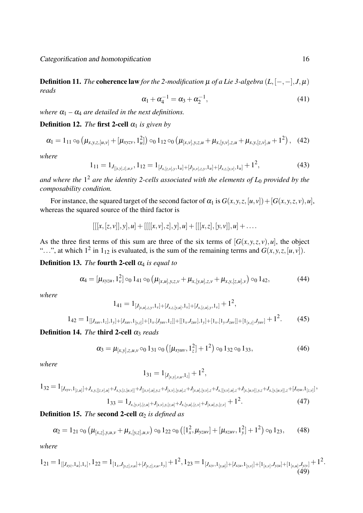Definition 11. *The* coherence law *for the 2-modification*  $\mu$  *of a Lie 3-algebra*  $(L, [-, -], J, \mu)$ *reads*

$$
\alpha_1 + \alpha_4^{-1} = \alpha_3 + \alpha_2^{-1}, \tag{41}
$$

*where*  $\alpha_1 - \alpha_4$  *are detailed in the next definitions.* 

#### **Definition 12.** *The* first 2-cell  $\alpha_1$  *is given by*

$$
\alpha_1 = 1_{11} \circ_0 \left( \mu_{x,y,z,[u,v]} + [\mu_{xyzy}, 1_u^2] \right) \circ_0 1_{12} \circ_0 \left( \mu_{[x,v],y,z,u} + \mu_{x,[y,v],z,u} + \mu_{x,y,[z,v],u} + 1^2 \right), \quad (42)
$$

*where*

$$
1_{11} = 1_{J_{[[x,y],z],u,v}}, 1_{12} = 1_{[J_{x,[z,v],y},1_u] + [J_{[x,v],z,y},1_u] + [J_{x,z,[y,v]},1_u]} + 1^2,
$$
\n
$$
(43)
$$

*and where the* 1 <sup>2</sup> *are the identity 2-cells associated with the elements of L*<sup>0</sup> *provided by the composability condition.*

For instance, the squared target of the second factor of  $\alpha_1$  is  $G(x, y, z, [u, v]) + [G(x, y, z, v), u]$ , whereas the squared source of the third factor is

$$
[[[x,[z,v]],y],u] + [[[[x,v],z],y],u] + [[[x,z],[y,v]],u] + \ldots
$$

As the three first terms of this sum are three of the six terms of  $[G(x, y, z, v), u]$ , the object "...", at which  $1^2$  in  $1_{12}$  is evaluated, is the sum of the remaining terms and  $G(x, y, z, [u, v])$ .

#### **Definition 13.** *The* **fourth 2-cell**  $\alpha_4$  *is equal to*

$$
\alpha_4 = [\mu_{xyzu}, 1_v^2] \circ_0 1_{41} \circ_0 (\mu_{[x,u],y,z,v} + \mu_{x,[y,u],z,v} + \mu_{x,y,[z,u],v}) \circ_0 1_{42},
$$
\n(44)

*where*

$$
1_{41}=1_{[J_{[x,u],z,y},1_{\nu}]+[J_{x,z,[y,u]},1_{\nu}]+[J_{x,[z,u],y},1_{\nu}]}+1^2,
$$

$$
1_{42} = 1_{[[J_{xuv},1_z],1_y]+[J_{xuv},1_{[y,z]}]+[1_x,[J_{yuv},1_z]]+[[1_x,J_{zuv}],1_y]+[1_x,[1_y,J_{zuv}]]+[1_{[x,z]},J_{yuv}]}+1^2.
$$
 (45)

### **Definition 14.** *The* **third 2-cell**  $\alpha_3$  *reads*

$$
\alpha_3 = \mu_{[x,y],z,u,v} \circ_0 1_{31} \circ_0 \left( [\mu_{xyuv}, 1_z^2] + 1^2 \right) \circ_0 1_{32} \circ_0 1_{33},\tag{46}
$$

*where*

$$
1_{31} = 1_{[J_{[x,y],v,u},1_z]} + 1^2,
$$

$$
1_{32}=1_{[J_{xyv},1_{[z,u]}]+J_{x,y,[[z,v],u]}+J_{x,y,[z,[u,v]]}+J_{[[x,v],u],y,z}+J_{[x,v],[y,u],z}+J_{[x,u],[y,v],z}+J_{x,[[y,v],u],z}+J_{[x,[u,v]],y,z}+J_{x,[y,[u,v]],z}+[J_{xyu},1_{[z,v]}]+J_{[x,[u],y,[y],z}+J_{[x,[u],y,[y],z}+J_{[x,[u],y,[y],z}+J_{[x,[u],y,[y],z}+J_{[x,[u],y,[y],z}+J_{[x,[u],y,[y],z}+J_{[x,[u],y,[y],z}+J_{[x,[u],y,[y],z}+J_{[x,[u],y,[y],z}+J_{[x,[u],y,[y],z}+J_{[x,[u],y,[y],z}+J_{[x,[u],y,[y],z}+J_{[x,[u],y,[y],z}+J_{[x,[u],y,[y],z}+J_{[x,[u],y,[y],z}+J_{[x,[u],y,[y],z}+J_{[x,[u],y,[y],z}+J_{[x,[u],y,[y],z}+J_{[x,[u],y,[y],z}+J_{[x,[u],y,[y],z}+J_{[x,[u],y,[y],z}+J_{[x,[u],y,[y],z}+J_{[x,[u],y,[y],z}+J_{[x,[u],y,[y],z}+J_{[x,[u],y,[y],z}+J_{[x,[u],y,[y],z}+J_{[x,[u],y,[y],z}+J_{[x,[u],y,[y],z}+J_{[x,[u],y,[y],z}+J_{[x,[u],y,[y],z}+J_{[x,[u],y,[y],z}+J_{[x,[u],y,[y],z}+J_{[x,[u],y,[y],z}+J_{[x,[u],y,[y],z}+J_{[x,[u],y,[y],z}+J_{[x,[u],y,[y],z}+J_{[x,[u],y,[y],z}+J_{[x,[u],y,[y],z}+J_{[x,[u],y,[y],z}+J_{[x,[u],y,[y],z}+J_{[x,[u],y,[y],z}+J_{[x,[u],y,[y],z}+J_{[x,[u],y,[y],z}+J_{[x,[u],y,[y],z}+J_{[x,[u],y,[y],z}+
$$

$$
1_{33}=1_{J_{x,[y,v],[z,u]}+J_{[x,v],y,[z,u]}+J_{x,[y,u],[z,v]}+J_{[x,u],y,[z,v]}}+1^2.
$$
\n(47)

#### **Definition 15.** *The* **second 2-cell**  $\alpha_2$  *is defined as*

$$
\alpha_2 = 1_{21} \circ_0 \left( \mu_{[x,z],y,u,v} + \mu_{x,[y,z],u,v} \right) \circ_0 1_{22} \circ_0 \left( \left[ 1_x^2, \mu_{yzuv} \right] + \left[ \mu_{xzuv}, 1_y^2 \right] + 1^2 \right) \circ_0 1_{23}, \quad (48)
$$

*where*

$$
1_{21} = 1_{[[J_{xyz},1_u],1_v]}, 1_{22} = 1_{[1_x,J_{[y,z],y,u}]+[J_{[x,z],y,u},1_y]} + 1^2, 1_{23} = 1_{[J_{xzy},1_{[y,u]}]+[J_{xzu},1_{[y,v]}]+[1_{[x,v]},J_{yzu}]+[1_{[x,u]},J_{yzv}]} + 1^2.
$$
\n
$$
(49)
$$

*,*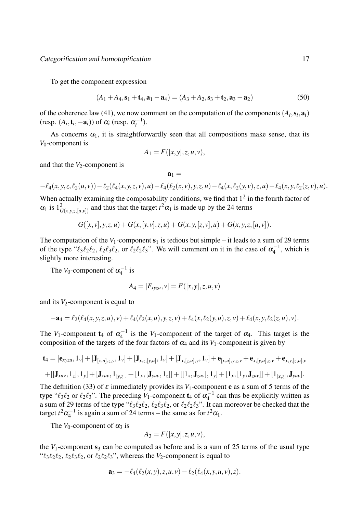To get the component expression

$$
(A_1 + A_4, \mathbf{s}_1 + \mathbf{t}_4, \mathbf{a}_1 - \mathbf{a}_4) = (A_3 + A_2, \mathbf{s}_3 + \mathbf{t}_2, \mathbf{a}_3 - \mathbf{a}_2)
$$
(50)

of the coherence law (41), we now comment on the computation of the components  $(A_i, \mathbf{s}_i, \mathbf{a}_i)$  $(\text{resp. } (A_i, \mathbf{t}_i, -\mathbf{a}_i))$  of  $\alpha_i$  (resp.  $\alpha_i^{-1}$  $(i^{-1})$ .

As concerns  $\alpha_1$ , it is straightforwardly seen that all compositions make sense, that its *V*0-component is

$$
A_1 = F([x, y], z, u, v),
$$

and that the  $V_2$ -component is

$$
\mathbf{a}_1 =
$$

$$
-\ell_4(x,y,z,\ell_2(u,v)) - \ell_2(\ell_4(x,y,z,v),u) - \ell_4(\ell_2(x,v),y,z,u) - \ell_4(x,\ell_2(y,v),z,u) - \ell_4(x,y,\ell_2(z,v),u).
$$

When actually examining the composability conditions, we find that  $1<sup>2</sup>$  in the fourth factor of  $\alpha_1$  is  $1^2_{G(x,y,z,[u,v])}$  and thus that the target  $t^2 \alpha_1$  is made up by the 24 terms

$$
G([x, v], y, z, u) + G(x, [y, v], z, u) + G(x, y, [z, v], u) + G(x, y, z, [u, v]).
$$

The computation of the  $V_1$ -component  $s_1$  is tedious but simple – it leads to a sum of 29 terms of the type " $\ell_3 \ell_2 \ell_2$ ,  $\ell_2 \ell_3 \ell_2$ , or  $\ell_2 \ell_2 \ell_3$ ". We will comment on it in the case of  $\alpha_4^{-1}$  $\kappa_4^{-1}$ , which is slightly more interesting.

The *V*<sub>0</sub>-component of  $\alpha_4^{-1}$  $\frac{1}{4}$  is

$$
A_4 = [F_{xyzu}, v] = F([x, y], z, u, v)
$$

and its  $V_2$ -component is equal to

$$
-a_4 = \ell_2(\ell_4(x,y,z,u),v) + \ell_4(\ell_2(x,u),y,z,v) + \ell_4(x,\ell_2(y,u),z,v) + \ell_4(x,y,\ell_2(z,u),v).
$$

The *V*<sub>1</sub>-component **t**<sub>4</sub> of  $\alpha_4^{-1}$  $i_{4}^{-1}$  is the *V*<sub>1</sub>-component of the target of  $\alpha_{4}$ . This target is the composition of the targets of the four factors of  $\alpha_4$  and its  $V_1$ -component is given by

$$
\mathbf{t}_4 = [\mathbf{e}_{xyzu}, 1_v] + [\mathbf{J}_{[x,u],z,y}, 1_v] + [\mathbf{J}_{x,z,[y,u]}, 1_v] + [\mathbf{J}_{x,[z,u],y}, 1_v] + \mathbf{e}_{[x,u],y,z,v} + \mathbf{e}_{x,[y,u],z,v} + \mathbf{e}_{x,y,[z,u],v} + [[\mathbf{J}_{xuv}, 1_z], 1_y] + [\mathbf{J}_{xuv}, 1_{[y,z]}] + [1_x, [\mathbf{J}_{yuv}, 1_z]] + [[1_x, \mathbf{J}_{zuv}], 1_y] + [1_x, [1_y, \mathbf{J}_{zuv}]] + [1_{[x,z]}, \mathbf{J}_{yuv}].
$$

The definition (33) of  $\varepsilon$  immediately provides its  $V_1$ -component **e** as a sum of 5 terms of the type " $\ell_3 \ell_2$  or  $\ell_2 \ell_3$ ". The preceding  $V_1$ -component  $\mathbf{t}_4$  of  $\alpha_4^{-1}$  $\kappa_4^{-1}$  can thus be explicitly written as a sum of 29 terms of the type " $\ell_3 \ell_2 \ell_2$ ,  $\ell_2 \ell_3 \ell_2$ , or  $\ell_2 \ell_2 \ell_3$ ". It can moreover be checked that the target  $t^2\alpha_4^{-1}$  $i_4^{-1}$  is again a sum of 24 terms – the same as for  $t^2\alpha_1$ .

The  $V_0$ -component of  $\alpha_3$  is

$$
A_3 = F([x, y], z, u, v),
$$

the  $V_1$ -component  $s_3$  can be computed as before and is a sum of 25 terms of the usual type " $\ell_3 \ell_2 \ell_2$ ,  $\ell_2 \ell_3 \ell_2$ , or  $\ell_2 \ell_2 \ell_3$ ", whereas the  $V_2$ -component is equal to

$$
\mathbf{a}_3 = -\ell_4(\ell_2(x, y), z, u, v) - \ell_2(\ell_4(x, y, u, v), z).
$$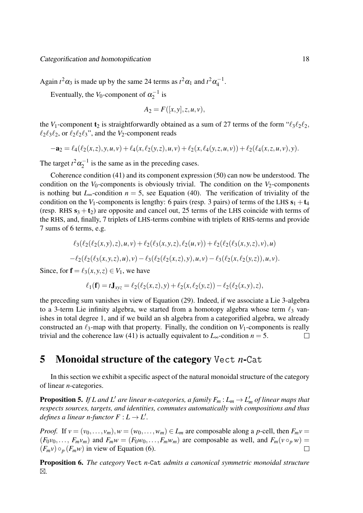Again  $t^2 \alpha_3$  is made up by the same 24 terms as  $t^2 \alpha_1$  and  $t^2 \alpha_4^{-1}$  $\frac{1}{4}$ .

Eventually, the *V*<sub>0</sub>-component of  $\alpha_2^{-1}$  $i_2^{-1}$  is

$$
A_2 = F([x, y], z, u, v),
$$

the *V*<sub>1</sub>-component  $t_2$  is straightforwardly obtained as a sum of 27 terms of the form " $\ell_3 \ell_2 \ell_2$ ,  $\ell_2 \ell_3 \ell_2$ , or  $\ell_2 \ell_2 \ell_3$ ", and the *V*<sub>2</sub>-component reads

$$
-a_2 = \ell_4(\ell_2(x,z),y,u,v) + \ell_4(x,\ell_2(y,z),u,v) + \ell_2(x,\ell_4(y,z,u,v)) + \ell_2(\ell_4(x,z,u,v),y).
$$

The target  $t^2 \alpha_2^{-1}$  $i_2^{-1}$  is the same as in the preceding cases.

Coherence condition (41) and its component expression (50) can now be understood. The condition on the  $V_0$ -components is obviously trivial. The condition on the  $V_2$ -components is nothing but  $L_{\infty}$ -condition  $n = 5$ , see Equation (40). The verification of triviality of the condition on the *V*<sub>1</sub>-components is lengthy: 6 pairs (resp. 3 pairs) of terms of the LHS  $s_1 + t_4$ (resp. RHS  $s_3 + t_2$ ) are opposite and cancel out, 25 terms of the LHS coincide with terms of the RHS, and, finally, 7 triplets of LHS-terms combine with triplets of RHS-terms and provide 7 sums of 6 terms, e.g.

$$
\ell_3(\ell_2(\ell_2(x,y),z),u,v) + \ell_2(\ell_3(x,y,z),\ell_2(u,v)) + \ell_2(\ell_2(\ell_3(x,y,z),v),u)
$$
  
-
$$
\ell_2(\ell_2(\ell_3(x,y,z),u),v) - \ell_3(\ell_2(\ell_2(x,z),y),u,v) - \ell_3(\ell_2(x,\ell_2(y,z)),u,v).
$$

Since, for  $f = \ell_3(x, y, z) \in V_1$ , we have

$$
\ell_1(\mathbf{f}) = t\mathbf{J}_{xyz} = \ell_2(\ell_2(x,z),y) + \ell_2(x,\ell_2(y,z)) - \ell_2(\ell_2(x,y),z),
$$

the preceding sum vanishes in view of Equation (29). Indeed, if we associate a Lie 3-algebra to a 3-term Lie infinity algebra, we started from a homotopy algebra whose term *ℓ*<sup>3</sup> vanishes in total degree 1, and if we build an sh algebra from a categorified algebra, we already constructed an  $\ell_3$ -map with that property. Finally, the condition on  $V_1$ -components is really trivial and the coherence law (41) is actually equivalent to  $L_{\infty}$ -condition  $n = 5$ .  $\Box$ 

### 5 Monoidal structure of the category Vect *n*-Cat

In this section we exhibit a specific aspect of the natural monoidal structure of the category of linear *n*-categories.

**Proposition 5.** If L and L' are linear n-categories, a family  $F_m$  :  $L_m \to L'_m$  of linear maps that *respects sources, targets, and identities, commutes automatically with compositions and thus defines a linear n-functor*  $F: L \to L'$ *.* 

*Proof.* If  $v = (v_0, \ldots, v_m)$ ,  $w = (w_0, \ldots, w_m) \in L_m$  are composable along a *p*-cell, then  $F_m v =$  $(F_0v_0,\ldots,F_mv_m)$  and  $F_mw=(F_0w_0,\ldots,F_mw_m)$  are composable as well, and  $F_m(v\circ_p w)=$  $(F_m v) \circ_p (F_m w)$  in view of Equation (6).  $\Box$ 

Proposition 6. *The category* Vect *n-*Cat *admits a canonical symmetric monoidal structure* -*.*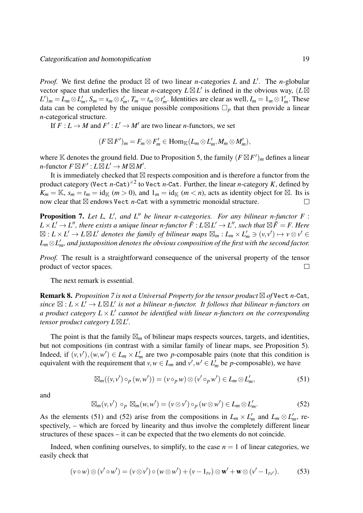*Proof.* We first define the product  $\boxtimes$  of two linear *n*-categories *L* and *L'*. The *n*-globular vector space that underlies the linear *n*-category  $L \boxtimes L'$  is defined in the obvious way,  $(L \boxtimes$  $L')_m = L_m \otimes L'_m$ ,  $S_m = s_m \otimes s'_m$ ,  $T_m = t_m \otimes t'_m$ . Identities are clear as well,  $I_m = 1_m \otimes 1'_m$ . These data can be completed by the unique possible compositions  $\Box_p$  that then provide a linear *n*-categorical structure.

If  $F: L \to M$  and  $F': L' \to M'$  are two linear *n*-functors, we set

$$
(F \boxtimes F')_m = F_m \otimes F'_m \in \text{Hom}_{\mathbb{K}}(L_m \otimes L'_m, M_m \otimes M'_m),
$$

where  $\mathbb K$  denotes the ground field. Due to Proposition 5, the family  $(F \boxtimes F')_m$  defines a linear  $n$ -functor  $F \boxtimes F'$  :  $L \boxtimes L' \rightarrow M \boxtimes M'$ .

It is immediately checked that  $\boxtimes$  respects composition and is therefore a functor from the product category (Vect *n*-Cat) *×*2 to Vect *n*-Cat. Further, the linear *n*-category *K*, defined by  $K_m = \mathbb{K}$ ,  $s_m = t_m = \text{id}_{\mathbb{K}}$   $(m > 0)$ , and  $1_m = \text{id}_{\mathbb{K}}$   $(m < n)$ , acts as identity object for  $\boxtimes$ . Its is now clear that  $\boxtimes$  endows Vect *n*-Cat with a symmetric monoidal structure.  $\Box$ 

Proposition 7. Let L, L<sup>'</sup>, and L<sup>''</sup> be linear n-categories. For any bilinear n-functor F:  $L\times L'\to L''$ , there exists a unique linear n-functor  $\tilde{F}:L\boxtimes L'\to L''$ , such that  $\boxtimes\tilde{F}=F.$  Here  $\boxtimes:L\times L'\to L\boxtimes L'$  denotes the family of bilinear maps  $\boxtimes_m:L_m\times L'_m\ni (v,v')\mapsto v\otimes v'\in L'$ *Lm⊗L ′ <sup>m</sup>, and juxtaposition denotes the obvious composition of the first with the second factor.*

*Proof.* The result is a straightforward consequence of the universal property of the tensor product of vector spaces.  $\Box$ 

The next remark is essential.

 $\bf{Remark 8.}$  *Proposition 7 is not a Universal Property for the tensor product*  $\triangle$  of Vect n-Cat,  $sinee \boxtimes : L \times L' \rightarrow L \boxtimes L'$  is not a bilinear n-functor. It follows that bilinear n-functors on *a product category L × L ′ cannot be identified with linear n-functors on the corresponding tensor product category L*-*L ′ .*

The point is that the family  $\mathbb{Z}_m$  of bilinear maps respects sources, targets, and identities, but not compositions (in contrast with a similar family of linear maps, see Proposition 5). Indeed, if  $(v, v'), (w, w') \in L_m \times L'_m$  are two *p*-composable pairs (note that this condition is equivalent with the requirement that  $v, w \in L_m$  and  $v', w' \in L'_m$  be *p*-composable), we have

$$
\boxtimes_m((v,v')\circ_p(w,w'))=(v\circ_p w)\otimes(v'\circ_p w')\in L_m\otimes L'_m,\tag{51}
$$

and

$$
\boxtimes_m(\nu,\nu')\circ_p\boxtimes_m(\nu,\nu')=(\nu\otimes\nu')\circ_p(\nu\otimes\nu')\in L_m\otimes L'_m. \hspace{1cm} (52)
$$

As the elements (51) and (52) arise from the compositions in  $L_m \times L'_m$  and  $L_m \otimes L'_m$ , respectively, – which are forced by linearity and thus involve the completely different linear structures of these spaces – it can be expected that the two elements do not coincide.

Indeed, when confining ourselves, to simplify, to the case  $n = 1$  of linear categories, we easily check that

$$
(\nu \circ w) \otimes (\nu' \circ w') = (\nu \otimes \nu') \circ (\nu \otimes w') + (\nu - 1_{t\nu}) \otimes \mathbf{w}' + \mathbf{w} \otimes (\nu' - 1_{t\nu'}).
$$
 (53)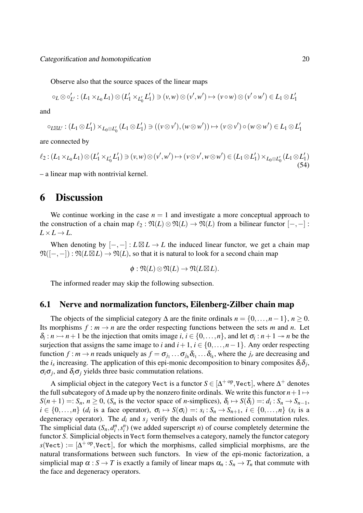Observe also that the source spaces of the linear maps

$$
\circ_L \otimes \circ'_{L'} : (L_1 \times_{L_0} L_1) \otimes (L'_1 \times_{L'_0} L'_1) \ni (v, w) \otimes (v', w') \mapsto (v \circ w) \otimes (v' \circ w') \in L_1 \otimes L'_1
$$

and

$$
\circ_{L\boxtimes L'}:(L_1\otimes L_1')\times_{L_0\otimes L_0'}(L_1\otimes L_1')\ni ((v\otimes v'),(w\otimes w'))\mapsto (v\otimes v')\circ(w\otimes w')\in L_1\otimes L_1'
$$

are connected by

$$
\ell_2: (L_1 \times_{L_0} L_1) \otimes (L'_1 \times_{L'_0} L'_1) \ni (v, w) \otimes (v', w') \mapsto (v \otimes v', w \otimes w') \in (L_1 \otimes L'_1) \times_{L_0 \otimes L'_0} (L_1 \otimes L'_1)
$$
\n(54)

– a linear map with nontrivial kernel.

### 6 Discussion

We continue working in the case  $n = 1$  and investigate a more conceptual approach to the construction of a chain map  $\ell_2 : \mathfrak{N}(L) \otimes \mathfrak{N}(L) \to \mathfrak{N}(L)$  from a bilinear functor  $[-,-]$ :  $L \times L \rightarrow L$ .

When denoting by  $[-,-]: L \boxtimes L \to L$  the induced linear functor, we get a chain map  $\mathfrak{N}([ -, -]) : \mathfrak{N}(L \boxtimes L) \to \mathfrak{N}(L) ,$  so that it is natural to look for a second chain map

$$
\phi: \mathfrak{N}(L) \otimes \mathfrak{N}(L) \to \mathfrak{N}(L \boxtimes L).
$$

The informed reader may skip the following subsection.

#### 6.1 Nerve and normalization functors, Eilenberg-Zilber chain map

The objects of the simplicial category  $\Delta$  are the finite ordinals  $n = \{0, \ldots, n-1\}, n \ge 0$ . Its morphisms  $f : m \to n$  are the order respecting functions between the sets *m* and *n*. Let  $\delta_i: n \rightarrowtail n+1$  be the injection that omits image  $i, i \in \{0, \ldots, n\}$ , and let  $\sigma_i: n+1 \rightarrowtail n$  be the surjection that assigns the same image to *i* and  $i+1$ ,  $i \in \{0, \ldots, n-1\}$ . Any order respecting function  $f : m \to n$  reads uniquely as  $f = \sigma_{j_1} \dots \sigma_{j_h} \delta_{i_1} \dots \delta_{i_k}$ , where the  $j_r$  are decreasing and the  $i_s$  increasing. The application of this epi-monic decomposition to binary composites  $\delta_i \delta_j$ ,  $\sigma_i \sigma_j$ , and  $\delta_i \sigma_j$  yields three basic commutation relations.

A simplicial object in the category Vect is a functor  $S \in [\Delta^{+\text{ op}}, \text{Vect}]$ , where  $\Delta^{+}$  denotes the full subcategory of  $\Delta$  made up by the nonzero finite ordinals. We write this functor  $n+1 \mapsto$  $S(n+1) =: S_n$ ,  $n \ge 0$ ,  $(S_n$  is the vector space of *n*-simplices),  $\delta_i \mapsto S(\delta_i) =: d_i : S_n \to S_{n-1}$ ,  $i \in \{0,\ldots,n\}$  (d<sub>i</sub> is a face operator),  $\sigma_i \mapsto S(\sigma_i) =: s_i : S_n \to S_{n+1}, i \in \{0,\ldots,n\}$  (s<sub>i</sub> is a degeneracy operator). The  $d_i$  and  $s_j$  verify the duals of the mentioned commutation rules. The simplicial data  $(S_n, d_i^n, s_i^n)$  (we added superscript *n*) of course completely determine the functor *S*. Simplicial objects in Vect form themselves a category, namely the functor category  $s(Vect) := [\Delta^{+\text{ op}}, Vect]$ , for which the morphisms, called simplicial morphisms, are the natural transformations between such functors. In view of the epi-monic factorization, a simplicial map  $\alpha$  :  $S \to T$  is exactly a family of linear maps  $\alpha_n : S_n \to T_n$  that commute with the face and degeneracy operators.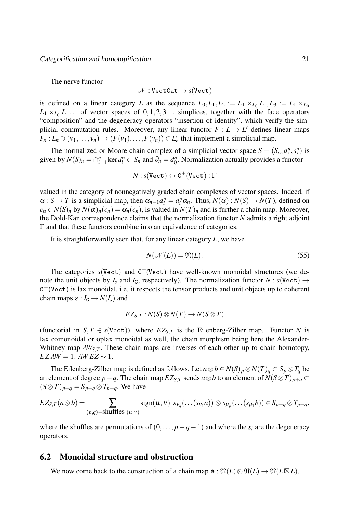The nerve functor

$$
\mathscr{N}:\mathtt{VectCat}\to s(\mathtt{Vect})
$$

is defined on a linear category *L* as the sequence  $L_0, L_1, L_2 := L_1 \times_{L_0} L_1, L_3 := L_1 \times_{L_0} L_2$  $L_1 \times_{L_0} L_1 \ldots$  of vector spaces of  $0, 1, 2, 3 \ldots$  simplices, together with the face operators "composition" and the degeneracy operators "insertion of identity", which verify the simplicial commutation rules. Moreover, any linear functor  $F: L \to L'$  defines linear maps  $F_n: L_n \ni (v_1, \ldots, v_n) \to (F(v_1), \ldots, F(v_n)) \in L'_n$  that implement a simplicial map.

The normalized or Moore chain complex of a simplicial vector space  $S = (S_n, d_i^n, s_i^n)$  is given by  $N(S)_n = \bigcap_{i=1}^n \ker d_i^n \subset S_n$  and  $\partial_n = d_0^n$  $n_0^n$ . Normalization actually provides a functor

$$
N:s(\mathtt{Vect})\leftrightarrow \mathtt{C}^{+}(\mathtt{Vect}): \Gamma
$$

valued in the category of nonnegatively graded chain complexes of vector spaces. Indeed, if  $\alpha: S \to T$  is a simplicial map, then  $\alpha_{n-1}d_i^n = d_i^n \alpha_n$ . Thus,  $N(\alpha): N(S) \to N(T)$ , defined on  $c_n \in N(S)_n$  by  $N(\alpha)_n(c_n) = \alpha_n(c_n)$ , is valued in  $N(T)_n$  and is further a chain map. Moreover, the Dold-Kan correspondence claims that the normalization functor *N* admits a right adjoint Γ and that these functors combine into an equivalence of categories.

It is straightforwardly seen that, for any linear category *L*, we have

$$
N(\mathcal{N}(L)) = \mathfrak{N}(L). \tag{55}
$$

The categories  $s$ (Vect) and  $C^+($ Vect) have well-known monoidal structures (we denote the unit objects by  $I_s$  and  $I_c$ , respectively). The normalization functor  $N : s(\text{Vect}) \to$  $C^+(Vect)$  is lax monoidal, i.e. it respects the tensor products and unit objects up to coherent chain maps  $\varepsilon$  :  $I_c \rightarrow N(I_s)$  and

$$
EZ_{S,T}:N(S)\otimes N(T)\to N(S\otimes T)
$$

(functorial in *S*, *T*  $\in$  *s*(Vect)), where  $EZ_{S,T}$  is the Eilenberg-Zilber map. Functor *N* is lax comonoidal or oplax monoidal as well, the chain morphism being here the Alexander-Whitney map  $AW_{S,T}$ . These chain maps are inverses of each other up to chain homotopy,  $EZAW = 1$ *,*  $AWEZ \sim 1$ *.* 

The Eilenberg-Zilber map is defined as follows. Let  $a \otimes b \in N(S)_p \otimes N(T)_q \subset S_p \otimes T_q$  be an element of degree *p*+*q*. The chain map  $EZ_{S,T}$  sends  $a \otimes b$  to an element of  $N(S \otimes T)_{p+q} \subset$  $(S \otimes T)_{p+q} = S_{p+q} \otimes T_{p+q}$ . We have

$$
EZ_{S,T}(a\otimes b)=\sum_{(p,q)\in\text{shuffles }(\mu,\nu)} sign(\mu,\nu) s_{\nu_q}(\ldots(s_{\nu_1}a))\otimes s_{\mu_p}(\ldots(s_{\mu_1}b))\in S_{p+q}\otimes T_{p+q},
$$

where the shuffles are permutations of  $(0, \ldots, p+q-1)$  and where the  $s_i$  are the degeneracy operators.

#### 6.2 Monoidal structure and obstruction

We now come back to the construction of a chain map  $\phi : \mathfrak{N}(L) \otimes \mathfrak{N}(L) \to \mathfrak{N}(L \boxtimes L)$ .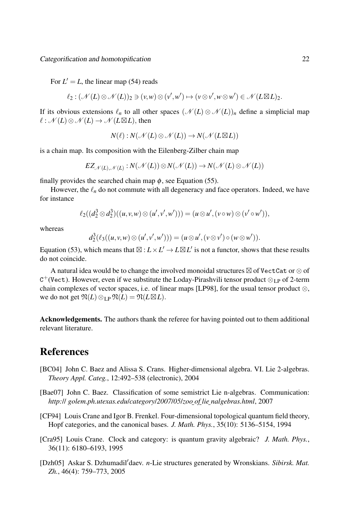For  $L' = L$ , the linear map (54) reads

$$
\ell_2: (\mathscr{N}(L) \otimes \mathscr{N}(L))_2 \ni (v, w) \otimes (v', w') \mapsto (v \otimes v', w \otimes w') \in \mathscr{N}(L \boxtimes L)_2.
$$

If its obvious extensions  $\ell_n$  to all other spaces  $(\mathcal{N}(L) \otimes \mathcal{N}(L))_n$  define a simplicial map  $\ell : \mathcal{N}(L) \otimes \mathcal{N}(L) \rightarrow \mathcal{N}(L \boxtimes L)$ , then

$$
N(\ell): N(\mathcal{N}(L) \otimes \mathcal{N}(L)) \to N(\mathcal{N}(L \boxtimes L))
$$

is a chain map. Its composition with the Eilenberg-Zilber chain map

$$
EZ_{{\mathscr N}(L),{\mathscr N}(L)}:N({\mathscr N}(L))\otimes N({\mathscr N}(L))\to N({\mathscr N}(L)\otimes {\mathscr N}(L))
$$

finally provides the searched chain map  $\phi$ , see Equation (55).

However, the  $\ell_n$  do not commute with all degeneracy and face operators. Indeed, we have for instance

$$
\ell_2((d_2^3\otimes d_2^3)((u,v,w)\otimes (u',v',w')))=(u\otimes u',(v\circ w)\otimes (v'\circ w')),
$$

whereas

$$
d_2^3(\ell_3((u,v,w)\otimes (u',v',w')))=(u\otimes u',(v\otimes v')\circ(w\otimes w')).
$$

Equation (53), which means that  $\boxtimes : L \times L' \to L \boxtimes L'$  is not a functor, shows that these results do not coincide.

A natural idea would be to change the involved monoidal structures ⊠ of VectCat or  $\otimes$  of C <sup>+</sup>(Vect). However, even if we substitute the Loday-Pirashvili tensor product *⊗*LP of 2-term chain complexes of vector spaces, i.e. of linear maps [LP98], for the usual tensor product *⊗*, we do not get  $\mathfrak{N}(L) \otimes_{\text{LP}} \mathfrak{N}(L) = \mathfrak{N}(L \boxtimes L)$ .

Acknowledgements. The authors thank the referee for having pointed out to them additional relevant literature.

### References

- [BC04] John C. Baez and Alissa S. Crans. Higher-dimensional algebra. VI. Lie 2-algebras. *Theory Appl. Categ.*, 12:492–538 (electronic), 2004
- [Bae07] John C. Baez. Classification of some semistrict Lie n-algebras. Communication: *http:*// *golem.ph.utexas.edu*/*category*/*2007*/*05*/*zoo ¯ of ¯ lie ¯ nalgebras.html*, 2007
- [CF94] Louis Crane and Igor B. Frenkel. Four-dimensional topological quantum field theory, Hopf categories, and the canonical bases. *J. Math. Phys.*, 35(10): 5136–5154, 1994
- [Cra95] Louis Crane. Clock and category: is quantum gravity algebraic? *J. Math. Phys.*, 36(11): 6180–6193, 1995
- [Dzh05] Askar S. Dzhumadil*′*daev. *n*-Lie structures generated by Wronskians. *Sibirsk. Mat. Zh.*, 46(4): 759–773, 2005